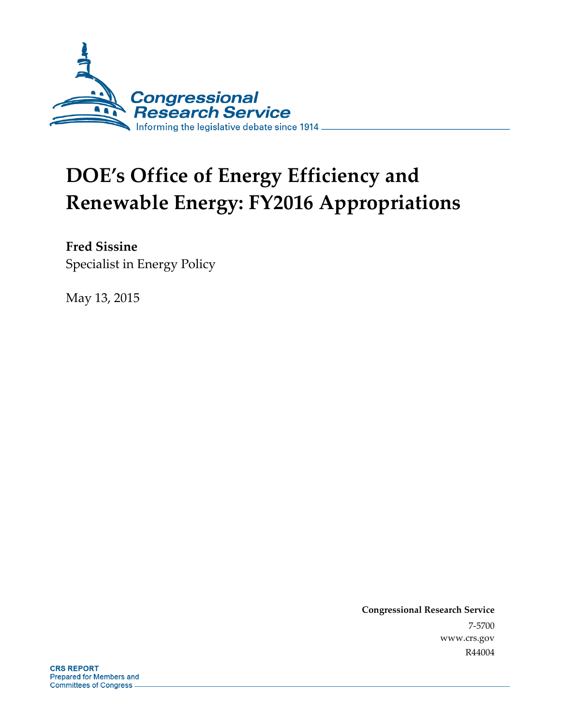

# **DOE's Office of Energy Efficiency and Renewable Energy: FY2016 Appropriations**

**Fred Sissine**  Specialist in Energy Policy

May 13, 2015

**Congressional Research Service**  7-5700 www.crs.gov R44004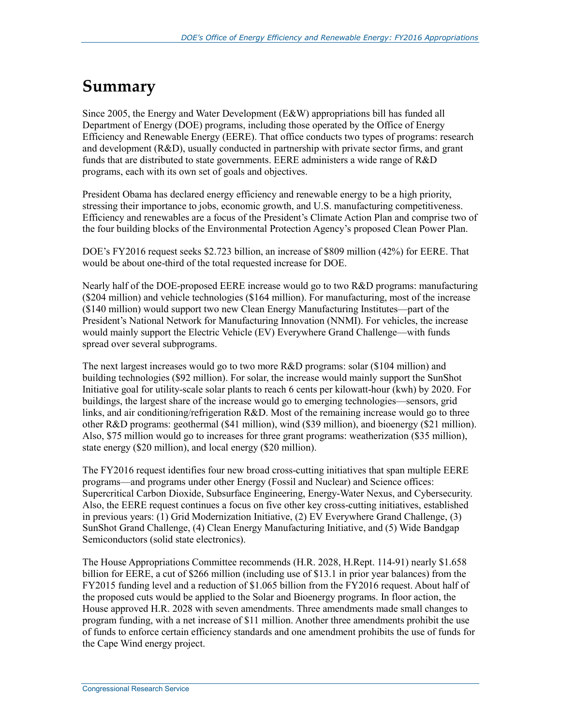# **Summary**

Since 2005, the Energy and Water Development (E&W) appropriations bill has funded all Department of Energy (DOE) programs, including those operated by the Office of Energy Efficiency and Renewable Energy (EERE). That office conducts two types of programs: research and development (R&D), usually conducted in partnership with private sector firms, and grant funds that are distributed to state governments. EERE administers a wide range of R&D programs, each with its own set of goals and objectives.

President Obama has declared energy efficiency and renewable energy to be a high priority, stressing their importance to jobs, economic growth, and U.S. manufacturing competitiveness. Efficiency and renewables are a focus of the President's Climate Action Plan and comprise two of the four building blocks of the Environmental Protection Agency's proposed Clean Power Plan.

DOE's FY2016 request seeks \$2.723 billion, an increase of \$809 million (42%) for EERE. That would be about one-third of the total requested increase for DOE.

Nearly half of the DOE-proposed EERE increase would go to two R&D programs: manufacturing (\$204 million) and vehicle technologies (\$164 million). For manufacturing, most of the increase (\$140 million) would support two new Clean Energy Manufacturing Institutes—part of the President's National Network for Manufacturing Innovation (NNMI). For vehicles, the increase would mainly support the Electric Vehicle (EV) Everywhere Grand Challenge—with funds spread over several subprograms.

The next largest increases would go to two more R&D programs: solar (\$104 million) and building technologies (\$92 million). For solar, the increase would mainly support the SunShot Initiative goal for utility-scale solar plants to reach 6 cents per kilowatt-hour (kwh) by 2020. For buildings, the largest share of the increase would go to emerging technologies—sensors, grid links, and air conditioning/refrigeration R&D. Most of the remaining increase would go to three other R&D programs: geothermal (\$41 million), wind (\$39 million), and bioenergy (\$21 million). Also, \$75 million would go to increases for three grant programs: weatherization (\$35 million), state energy (\$20 million), and local energy (\$20 million).

The FY2016 request identifies four new broad cross-cutting initiatives that span multiple EERE programs—and programs under other Energy (Fossil and Nuclear) and Science offices: Supercritical Carbon Dioxide, Subsurface Engineering, Energy-Water Nexus, and Cybersecurity. Also, the EERE request continues a focus on five other key cross-cutting initiatives, established in previous years: (1) Grid Modernization Initiative, (2) EV Everywhere Grand Challenge, (3) SunShot Grand Challenge, (4) Clean Energy Manufacturing Initiative, and (5) Wide Bandgap Semiconductors (solid state electronics).

The House Appropriations Committee recommends (H.R. 2028, H.Rept. 114-91) nearly \$1.658 billion for EERE, a cut of \$266 million (including use of \$13.1 in prior year balances) from the FY2015 funding level and a reduction of \$1.065 billion from the FY2016 request. About half of the proposed cuts would be applied to the Solar and Bioenergy programs. In floor action, the House approved H.R. 2028 with seven amendments. Three amendments made small changes to program funding, with a net increase of \$11 million. Another three amendments prohibit the use of funds to enforce certain efficiency standards and one amendment prohibits the use of funds for the Cape Wind energy project.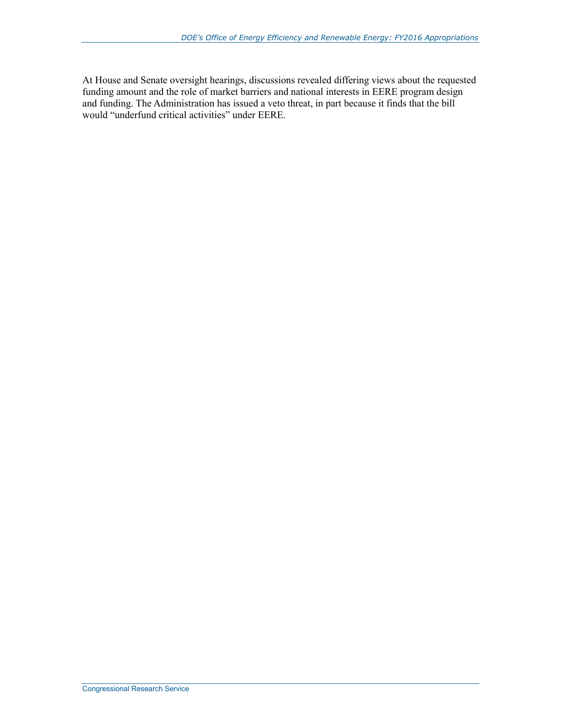At House and Senate oversight hearings, discussions revealed differing views about the requested funding amount and the role of market barriers and national interests in EERE program design and funding. The Administration has issued a veto threat, in part because it finds that the bill would "underfund critical activities" under EERE.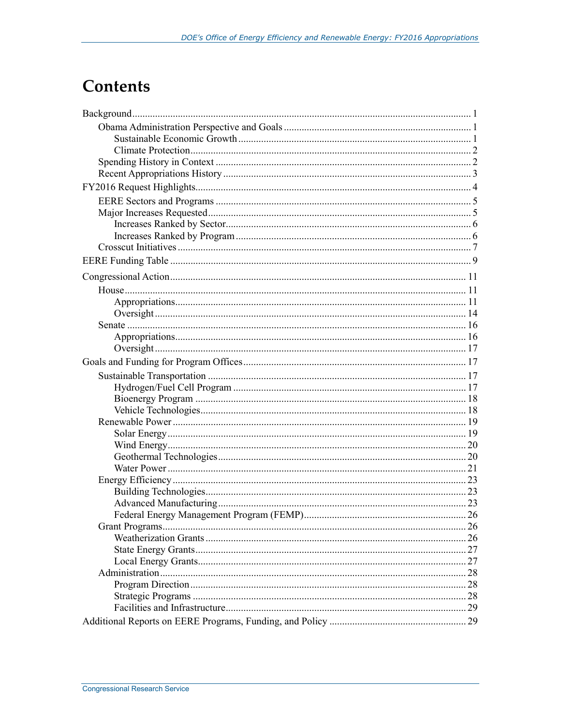# **Contents**

| 28 |
|----|
|    |
|    |
|    |
|    |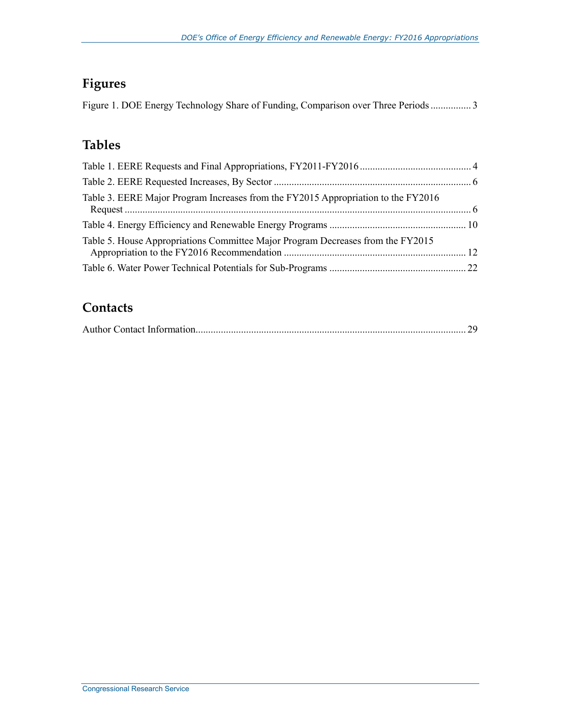## **Figures**

|  |  |  |  | Figure 1. DOE Energy Technology Share of Funding, Comparison over Three Periods3 |  |
|--|--|--|--|----------------------------------------------------------------------------------|--|
|  |  |  |  |                                                                                  |  |

## **Tables**

| Table 3. EERE Major Program Increases from the FY2015 Appropriation to the FY2016 |  |
|-----------------------------------------------------------------------------------|--|
|                                                                                   |  |
| Table 5. House Appropriations Committee Major Program Decreases from the FY2015   |  |
|                                                                                   |  |

## **Contacts**

|--|--|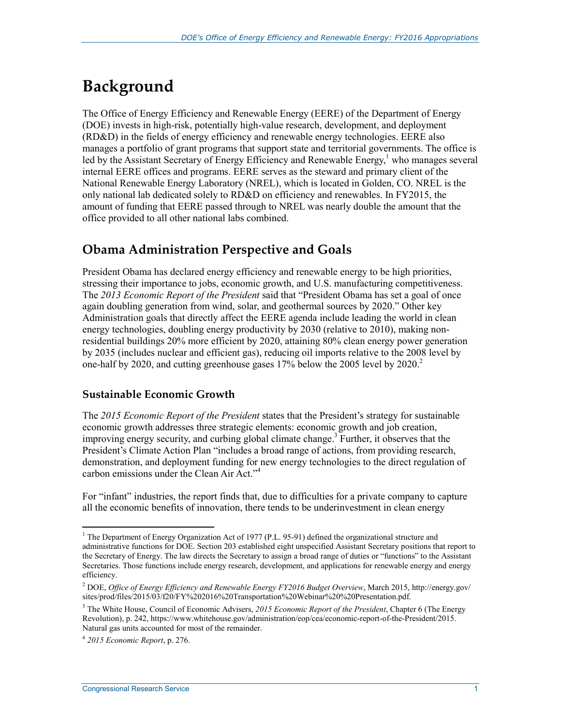# **Background**

The Office of Energy Efficiency and Renewable Energy (EERE) of the Department of Energy (DOE) invests in high-risk, potentially high-value research, development, and deployment (RD&D) in the fields of energy efficiency and renewable energy technologies. EERE also manages a portfolio of grant programs that support state and territorial governments. The office is led by the Assistant Secretary of Energy Efficiency and Renewable Energy,<sup>1</sup> who manages several internal EERE offices and programs. EERE serves as the steward and primary client of the National Renewable Energy Laboratory (NREL), which is located in Golden, CO. NREL is the only national lab dedicated solely to RD&D on efficiency and renewables. In FY2015, the amount of funding that EERE passed through to NREL was nearly double the amount that the office provided to all other national labs combined.

## **Obama Administration Perspective and Goals**

President Obama has declared energy efficiency and renewable energy to be high priorities, stressing their importance to jobs, economic growth, and U.S. manufacturing competitiveness. The *2013 Economic Report of the President* said that "President Obama has set a goal of once again doubling generation from wind, solar, and geothermal sources by 2020." Other key Administration goals that directly affect the EERE agenda include leading the world in clean energy technologies, doubling energy productivity by 2030 (relative to 2010), making nonresidential buildings 20% more efficient by 2020, attaining 80% clean energy power generation by 2035 (includes nuclear and efficient gas), reducing oil imports relative to the 2008 level by one-half by 2020, and cutting greenhouse gases  $17\%$  below the 2005 level by 2020.<sup>2</sup>

### **Sustainable Economic Growth**

The *2015 Economic Report of the President* states that the President's strategy for sustainable economic growth addresses three strategic elements: economic growth and job creation, improving energy security, and curbing global climate change.<sup>3</sup> Further, it observes that the President's Climate Action Plan "includes a broad range of actions, from providing research, demonstration, and deployment funding for new energy technologies to the direct regulation of carbon emissions under the Clean Air Act."4

For "infant" industries, the report finds that, due to difficulties for a private company to capture all the economic benefits of innovation, there tends to be underinvestment in clean energy

<u>.</u>

<sup>&</sup>lt;sup>1</sup> The Department of Energy Organization Act of 1977 (P.L. 95-91) defined the organizational structure and administrative functions for DOE. Section 203 established eight unspecified Assistant Secretary positions that report to the Secretary of Energy. The law directs the Secretary to assign a broad range of duties or "functions" to the Assistant Secretaries. Those functions include energy research, development, and applications for renewable energy and energy efficiency.

<sup>2</sup> DOE, *Office of Energy Efficiency and Renewable Energy FY2016 Budget Overview*, March 2015, http://energy.gov/ sites/prod/files/2015/03/f20/FY%202016%20Transportation%20Webinar%20%20Presentation.pdf.

<sup>3</sup> The White House, Council of Economic Advisers, *2015 Economic Report of the President*, Chapter 6 (The Energy Revolution), p. 242, https://www.whitehouse.gov/administration/eop/cea/economic-report-of-the-President/2015. Natural gas units accounted for most of the remainder.

<sup>4</sup> *2015 Economic Report*, p. 276.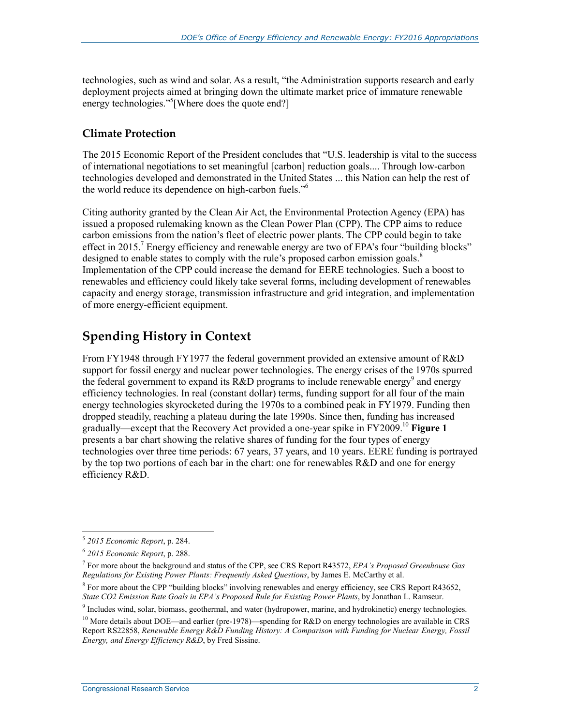technologies, such as wind and solar. As a result, "the Administration supports research and early deployment projects aimed at bringing down the ultimate market price of immature renewable energy technologies."<sup>5</sup> [Where does the quote end?]

### **Climate Protection**

The 2015 Economic Report of the President concludes that "U.S. leadership is vital to the success of international negotiations to set meaningful [carbon] reduction goals.... Through low-carbon technologies developed and demonstrated in the United States ... this Nation can help the rest of the world reduce its dependence on high-carbon fuels."6

Citing authority granted by the Clean Air Act, the Environmental Protection Agency (EPA) has issued a proposed rulemaking known as the Clean Power Plan (CPP). The CPP aims to reduce carbon emissions from the nation's fleet of electric power plants. The CPP could begin to take effect in 2015.<sup>7</sup> Energy efficiency and renewable energy are two of EPA's four "building blocks" designed to enable states to comply with the rule's proposed carbon emission goals.<sup>8</sup> Implementation of the CPP could increase the demand for EERE technologies. Such a boost to renewables and efficiency could likely take several forms, including development of renewables capacity and energy storage, transmission infrastructure and grid integration, and implementation of more energy-efficient equipment.

## **Spending History in Context**

From FY1948 through FY1977 the federal government provided an extensive amount of R&D support for fossil energy and nuclear power technologies. The energy crises of the 1970s spurred the federal government to expand its R&D programs to include renewable energy<sup>9</sup> and energy efficiency technologies. In real (constant dollar) terms, funding support for all four of the main energy technologies skyrocketed during the 1970s to a combined peak in FY1979. Funding then dropped steadily, reaching a plateau during the late 1990s. Since then, funding has increased gradually—except that the Recovery Act provided a one-year spike in FY2009.10 **Figure 1** presents a bar chart showing the relative shares of funding for the four types of energy technologies over three time periods: 67 years, 37 years, and 10 years. EERE funding is portrayed by the top two portions of each bar in the chart: one for renewables R&D and one for energy efficiency R&D.

<sup>5</sup> *2015 Economic Report*, p. 284.

<sup>6</sup>  *2015 Economic Report*, p. 288.

<sup>7</sup> For more about the background and status of the CPP, see CRS Report R43572, *EPA's Proposed Greenhouse Gas Regulations for Existing Power Plants: Frequently Asked Questions*, by James E. McCarthy et al.

<sup>&</sup>lt;sup>8</sup> For more about the CPP "building blocks" involving renewables and energy efficiency, see CRS Report R43652, *State CO2 Emission Rate Goals in EPA's Proposed Rule for Existing Power Plants*, by Jonathan L. Ramseur.

<sup>&</sup>lt;sup>9</sup> Includes wind, solar, biomass, geothermal, and water (hydropower, marine, and hydrokinetic) energy technologies.

<sup>&</sup>lt;sup>10</sup> More details about DOE—and earlier (pre-1978)—spending for R&D on energy technologies are available in CRS Report RS22858, *Renewable Energy R&D Funding History: A Comparison with Funding for Nuclear Energy, Fossil Energy, and Energy Efficiency R&D*, by Fred Sissine.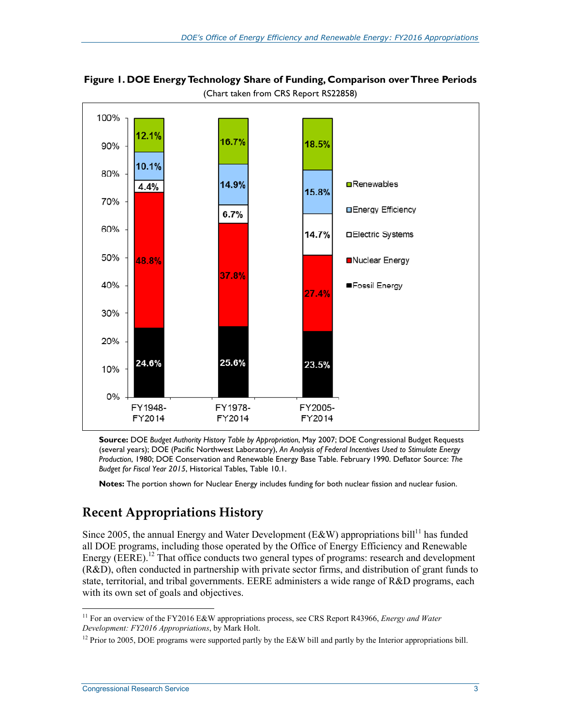

**Figure 1. DOE Energy Technology Share of Funding, Comparison over Three Periods**  (Chart taken from CRS Report RS22858)

**Source:** DOE *Budget Authority History Table by Appropriation*, May 2007; DOE Congressional Budget Requests (several years); DOE (Pacific Northwest Laboratory), *An Analysis of Federal Incentives Used to Stimulate Energy Production*, 1980; DOE Conservation and Renewable Energy Base Table. February 1990. Deflator Source: *The Budget for Fiscal Year 2015*, Historical Tables, Table 10.1.

**Notes:** The portion shown for Nuclear Energy includes funding for both nuclear fission and nuclear fusion.

## **Recent Appropriations History**

Since 2005, the annual Energy and Water Development (E&W) appropriations bill<sup>11</sup> has funded all DOE programs, including those operated by the Office of Energy Efficiency and Renewable Energy ( $EERE$ ).<sup>12</sup> That office conducts two general types of programs: research and development (R&D), often conducted in partnership with private sector firms, and distribution of grant funds to state, territorial, and tribal governments. EERE administers a wide range of R&D programs, each with its own set of goals and objectives.

<sup>11</sup> For an overview of the FY2016 E&W appropriations process, see CRS Report R43966, *Energy and Water Development: FY2016 Appropriations*, by Mark Holt.

<sup>&</sup>lt;sup>12</sup> Prior to 2005, DOE programs were supported partly by the E&W bill and partly by the Interior appropriations bill.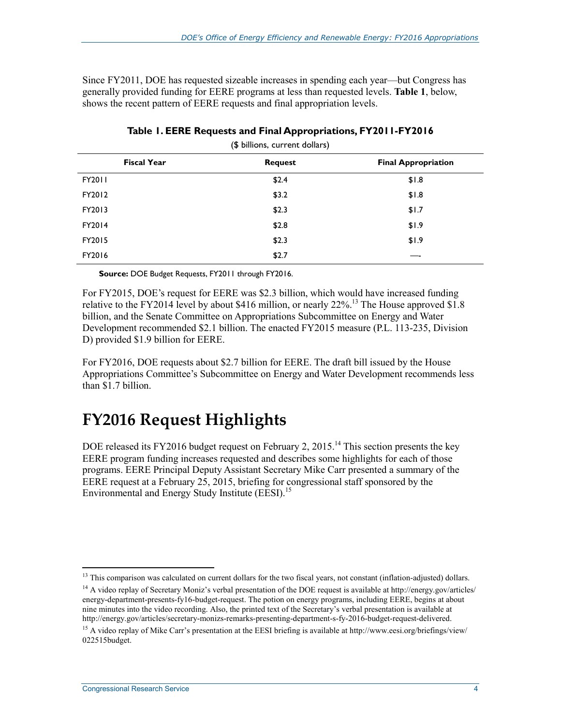Since FY2011, DOE has requested sizeable increases in spending each year—but Congress has generally provided funding for EERE programs at less than requested levels. **Table 1**, below, shows the recent pattern of EERE requests and final appropriation levels.

|                    | $\cdot$<br>$\sim$ |                            |
|--------------------|-------------------|----------------------------|
| <b>Fiscal Year</b> | <b>Request</b>    | <b>Final Appropriation</b> |
| FY2011             | \$2.4             | \$1.8                      |
| FY2012             | \$3.2             | \$1.8                      |
| FY2013             | \$2.3             | \$1.7                      |
| FY2014             | \$2.8             | \$1.9                      |
| FY2015             | \$2.3             | \$1.9                      |
| FY2016             | \$2.7             |                            |
|                    |                   |                            |

#### **Table 1. EERE Requests and Final Appropriations, FY2011-FY2016**  (\$ billions, current dollars)

**Source:** DOE Budget Requests, FY2011 through FY2016.

For FY2015, DOE's request for EERE was \$2.3 billion, which would have increased funding relative to the FY2014 level by about \$416 million, or nearly  $22\%$ <sup>13</sup>. The House approved \$1.8 billion, and the Senate Committee on Appropriations Subcommittee on Energy and Water Development recommended \$2.1 billion. The enacted FY2015 measure (P.L. 113-235, Division D) provided \$1.9 billion for EERE.

For FY2016, DOE requests about \$2.7 billion for EERE. The draft bill issued by the House Appropriations Committee's Subcommittee on Energy and Water Development recommends less than \$1.7 billion.

# **FY2016 Request Highlights**

DOE released its FY2016 budget request on February 2, 2015.<sup>14</sup> This section presents the key EERE program funding increases requested and describes some highlights for each of those programs. EERE Principal Deputy Assistant Secretary Mike Carr presented a summary of the EERE request at a February 25, 2015, briefing for congressional staff sponsored by the Environmental and Energy Study Institute (EESI).<sup>15</sup>

 $<sup>13</sup>$  This comparison was calculated on current dollars for the two fiscal years, not constant (inflation-adjusted) dollars.</sup>

<sup>&</sup>lt;sup>14</sup> A video replay of Secretary Moniz's verbal presentation of the DOE request is available at http://energy.gov/articles/ energy-department-presents-fy16-budget-request. The potion on energy programs, including EERE, begins at about nine minutes into the video recording. Also, the printed text of the Secretary's verbal presentation is available at http://energy.gov/articles/secretary-monizs-remarks-presenting-department-s-fy-2016-budget-request-delivered.

<sup>&</sup>lt;sup>15</sup> A video replay of Mike Carr's presentation at the EESI briefing is available at http://www.eesi.org/briefings/view/ 022515budget.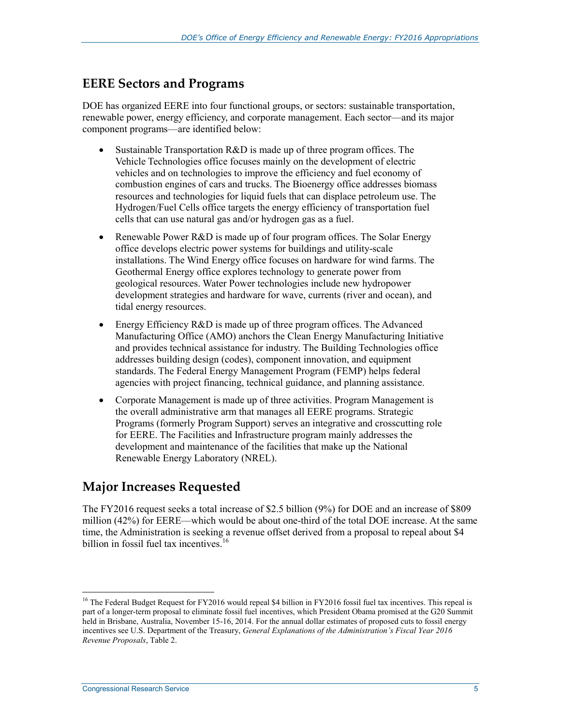## **EERE Sectors and Programs**

DOE has organized EERE into four functional groups, or sectors: sustainable transportation, renewable power, energy efficiency, and corporate management. Each sector—and its major component programs—are identified below:

- Sustainable Transportation R&D is made up of three program offices. The Vehicle Technologies office focuses mainly on the development of electric vehicles and on technologies to improve the efficiency and fuel economy of combustion engines of cars and trucks. The Bioenergy office addresses biomass resources and technologies for liquid fuels that can displace petroleum use. The Hydrogen/Fuel Cells office targets the energy efficiency of transportation fuel cells that can use natural gas and/or hydrogen gas as a fuel.
- Renewable Power R&D is made up of four program offices. The Solar Energy office develops electric power systems for buildings and utility-scale installations. The Wind Energy office focuses on hardware for wind farms. The Geothermal Energy office explores technology to generate power from geological resources. Water Power technologies include new hydropower development strategies and hardware for wave, currents (river and ocean), and tidal energy resources.
- Energy Efficiency R&D is made up of three program offices. The Advanced Manufacturing Office (AMO) anchors the Clean Energy Manufacturing Initiative and provides technical assistance for industry. The Building Technologies office addresses building design (codes), component innovation, and equipment standards. The Federal Energy Management Program (FEMP) helps federal agencies with project financing, technical guidance, and planning assistance.
- Corporate Management is made up of three activities. Program Management is the overall administrative arm that manages all EERE programs. Strategic Programs (formerly Program Support) serves an integrative and crosscutting role for EERE. The Facilities and Infrastructure program mainly addresses the development and maintenance of the facilities that make up the National Renewable Energy Laboratory (NREL).

## **Major Increases Requested**

The FY2016 request seeks a total increase of \$2.5 billion (9%) for DOE and an increase of \$809 million (42%) for EERE—which would be about one-third of the total DOE increase. At the same time, the Administration is seeking a revenue offset derived from a proposal to repeal about \$4 billion in fossil fuel tax incentives.<sup>16</sup>

<sup>&</sup>lt;sup>16</sup> The Federal Budget Request for FY2016 would repeal \$4 billion in FY2016 fossil fuel tax incentives. This repeal is part of a longer-term proposal to eliminate fossil fuel incentives, which President Obama promised at the G20 Summit held in Brisbane, Australia, November 15-16, 2014. For the annual dollar estimates of proposed cuts to fossil energy incentives see U.S. Department of the Treasury, *General Explanations of the Administration's Fiscal Year 2016 Revenue Proposals*, Table 2.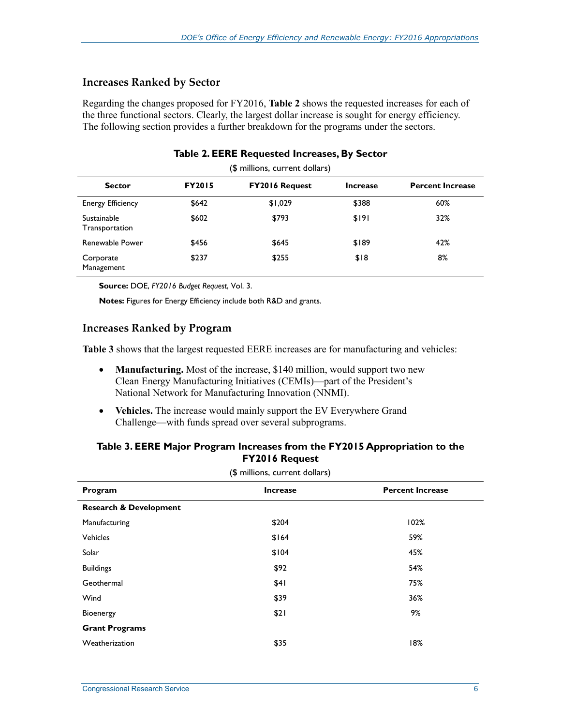#### **Increases Ranked by Sector**

Regarding the changes proposed for FY2016, **Table 2** shows the requested increases for each of the three functional sectors. Clearly, the largest dollar increase is sought for energy efficiency. The following section provides a further breakdown for the programs under the sectors.

|                               |               | (\$ millions, current dollars) |                 |                         |
|-------------------------------|---------------|--------------------------------|-----------------|-------------------------|
| <b>Sector</b>                 | <b>FY2015</b> | <b>FY2016 Request</b>          | <b>Increase</b> | <b>Percent Increase</b> |
| <b>Energy Efficiency</b>      | \$642         | \$1,029                        | \$388           | 60%                     |
| Sustainable<br>Transportation | \$602         | \$793                          | \$191           | 32%                     |
| Renewable Power               | \$456         | \$645                          | \$189           | 42%                     |
| Corporate<br>Management       | \$237         | \$255                          | \$18            | 8%                      |

#### **Table 2. EERE Requested Increases, By Sector**

**Source:** DOE, *FY2016 Budget Request*, Vol. 3.

**Notes:** Figures for Energy Efficiency include both R&D and grants.

#### **Increases Ranked by Program**

**Table 3** shows that the largest requested EERE increases are for manufacturing and vehicles:

- **Manufacturing.** Most of the increase, \$140 million, would support two new Clean Energy Manufacturing Initiatives (CEMIs)—part of the President's National Network for Manufacturing Innovation (NNMI).
- **Vehicles.** The increase would mainly support the EV Everywhere Grand Challenge—with funds spread over several subprograms.

#### **Table 3. EERE Major Program Increases from the FY2015 Appropriation to the FY2016 Request**

| (\$ millions, current dollars)    |                 |                         |  |  |  |  |
|-----------------------------------|-----------------|-------------------------|--|--|--|--|
| Program                           | <b>Increase</b> | <b>Percent Increase</b> |  |  |  |  |
| <b>Research &amp; Development</b> |                 |                         |  |  |  |  |
| Manufacturing                     | \$204           | 102%                    |  |  |  |  |
| Vehicles                          | \$164           | 59%                     |  |  |  |  |
| Solar                             | \$104           | 45%                     |  |  |  |  |
| <b>Buildings</b>                  | \$92            | 54%                     |  |  |  |  |
| Geothermal                        | \$41            | 75%                     |  |  |  |  |
| Wind                              | \$39            | 36%                     |  |  |  |  |
| Bioenergy                         | \$21            | 9%                      |  |  |  |  |
| <b>Grant Programs</b>             |                 |                         |  |  |  |  |
| Weatherization                    | \$35            | 18%                     |  |  |  |  |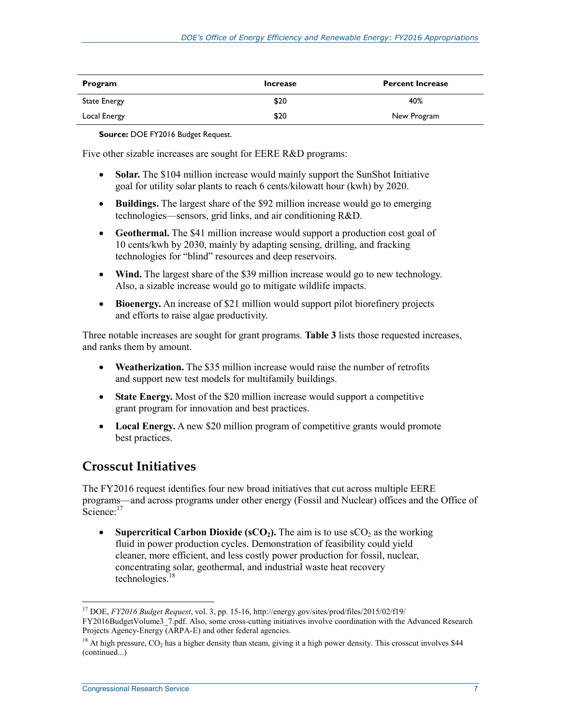| Program             | <b>Increase</b> | <b>Percent Increase</b> |
|---------------------|-----------------|-------------------------|
| <b>State Energy</b> | \$20            | 40%                     |
| Local Energy        | \$20            | New Program             |

**Source:** DOE FY2016 Budget Request.

Five other sizable increases are sought for EERE R&D programs:

- **Solar.** The \$104 million increase would mainly support the SunShot Initiative goal for utility solar plants to reach 6 cents/kilowatt hour (kwh) by 2020.
- **Buildings.** The largest share of the \$92 million increase would go to emerging technologies—sensors, grid links, and air conditioning R&D.
- **Geothermal.** The \$41 million increase would support a production cost goal of 10 cents/kwh by 2030, mainly by adapting sensing, drilling, and fracking technologies for "blind" resources and deep reservoirs.
- Wind. The largest share of the \$39 million increase would go to new technology. Also, a sizable increase would go to mitigate wildlife impacts.
- **Bioenergy.** An increase of \$21 million would support pilot biorefinery projects and efforts to raise algae productivity.

Three notable increases are sought for grant programs. **Table 3** lists those requested increases, and ranks them by amount.

- **Weatherization.** The \$35 million increase would raise the number of retrofits and support new test models for multifamily buildings.
- **State Energy.** Most of the \$20 million increase would support a competitive grant program for innovation and best practices.
- Local Energy. A new \$20 million program of competitive grants would promote best practices.

## **Crosscut Initiatives**

The FY2016 request identifies four new broad initiatives that cut across multiple EERE programs—and across programs under other energy (Fossil and Nuclear) offices and the Office of  $\text{Science}^{17}$ 

• **Supercritical Carbon Dioxide (sCO<sub>2</sub>).** The aim is to use  $\text{SCO}_2$  as the working fluid in power production cycles. Demonstration of feasibility could yield cleaner, more efficient, and less costly power production for fossil, nuclear, concentrating solar, geothermal, and industrial waste heat recovery technologies.18

<sup>17</sup> DOE, *FY2016 Budget Request*, vol. 3, pp. 15-16, http://energy.gov/sites/prod/files/2015/02/f19/ FY2016BudgetVolume3\_7.pdf. Also, some cross-cutting initiatives involve coordination with the Advanced Research Projects Agency-Energy (ARPA-E) and other federal agencies.

 $18$  At high pressure, CO<sub>2</sub> has a higher density than steam, giving it a high power density. This crosscut involves \$44 (continued...)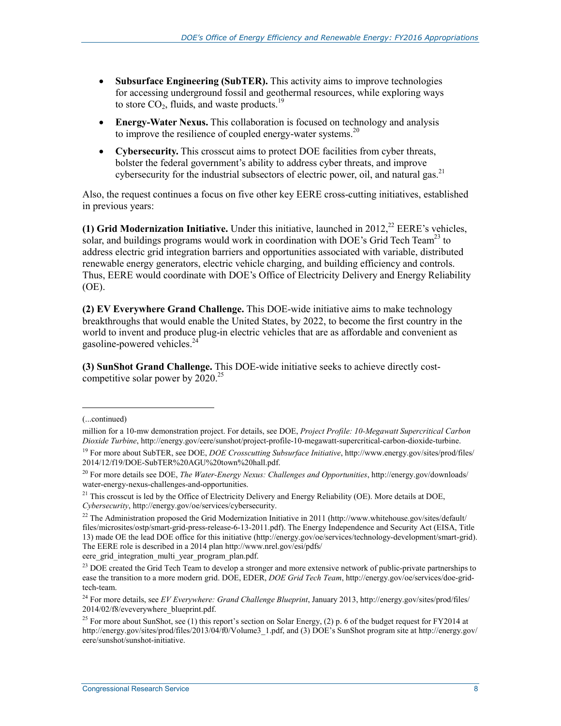- **Subsurface Engineering (SubTER).** This activity aims to improve technologies for accessing underground fossil and geothermal resources, while exploring ways to store  $CO<sub>2</sub>$ , fluids, and waste products.<sup>19</sup>
- **Energy-Water Nexus.** This collaboration is focused on technology and analysis to improve the resilience of coupled energy-water systems.<sup>20</sup>
- **Cybersecurity.** This crosscut aims to protect DOE facilities from cyber threats, bolster the federal government's ability to address cyber threats, and improve cybersecurity for the industrial subsectors of electric power, oil, and natural gas.<sup>21</sup>

Also, the request continues a focus on five other key EERE cross-cutting initiatives, established in previous years:

(1) Grid Modernization Initiative. Under this initiative, launched in  $2012<sup>22</sup> EERE's vehicles$ , solar, and buildings programs would work in coordination with DOE's Grid Tech Team<sup>23</sup> to address electric grid integration barriers and opportunities associated with variable, distributed renewable energy generators, electric vehicle charging, and building efficiency and controls. Thus, EERE would coordinate with DOE's Office of Electricity Delivery and Energy Reliability (OE).

**(2) EV Everywhere Grand Challenge.** This DOE-wide initiative aims to make technology breakthroughs that would enable the United States, by 2022, to become the first country in the world to invent and produce plug-in electric vehicles that are as affordable and convenient as gasoline-powered vehicles.24

**(3) SunShot Grand Challenge.** This DOE-wide initiative seeks to achieve directly costcompetitive solar power by  $2020^{25}$ 

<sup>(...</sup>continued)

million for a 10-mw demonstration project. For details, see DOE, *Project Profile: 10-Megawatt Supercritical Carbon Dioxide Turbine*, http://energy.gov/eere/sunshot/project-profile-10-megawatt-supercritical-carbon-dioxide-turbine.

<sup>19</sup> For more about SubTER, see DOE, *DOE Crosscutting Subsurface Initiative*, http://www.energy.gov/sites/prod/files/ 2014/12/f19/DOE-SubTER%20AGU%20town%20hall.pdf.

<sup>&</sup>lt;sup>20</sup> For more details see DOE, *The Water-Energy Nexus: Challenges and Opportunities*, http://energy.gov/downloads/ water-energy-nexus-challenges-and-opportunities.

<sup>&</sup>lt;sup>21</sup> This crosscut is led by the Office of Electricity Delivery and Energy Reliability (OE). More details at DOE, *Cybersecurity*, http://energy.gov/oe/services/cybersecurity.

<sup>&</sup>lt;sup>22</sup> The Administration proposed the Grid Modernization Initiative in 2011 (http://www.whitehouse.gov/sites/default/ files/microsites/ostp/smart-grid-press-release-6-13-2011.pdf). The Energy Independence and Security Act (EISA, Title 13) made OE the lead DOE office for this initiative (http://energy.gov/oe/services/technology-development/smart-grid). The EERE role is described in a 2014 plan http://www.nrel.gov/esi/pdfs/

eere grid integration multi year program plan.pdf.

<sup>&</sup>lt;sup>23</sup> DOE created the Grid Tech Team to develop a stronger and more extensive network of public-private partnerships to ease the transition to a more modern grid. DOE, EDER, *DOE Grid Tech Team*, http://energy.gov/oe/services/doe-gridtech-team.

<sup>24</sup> For more details, see *EV Everywhere: Grand Challenge Blueprint*, January 2013, http://energy.gov/sites/prod/files/ 2014/02/f8/eveverywhere\_blueprint.pdf.

<sup>&</sup>lt;sup>25</sup> For more about SunShot, see (1) this report's section on Solar Energy, (2) p. 6 of the budget request for FY2014 at http://energy.gov/sites/prod/files/2013/04/f0/Volume3\_1.pdf, and (3) DOE's SunShot program site at http://energy.gov/ eere/sunshot/sunshot-initiative.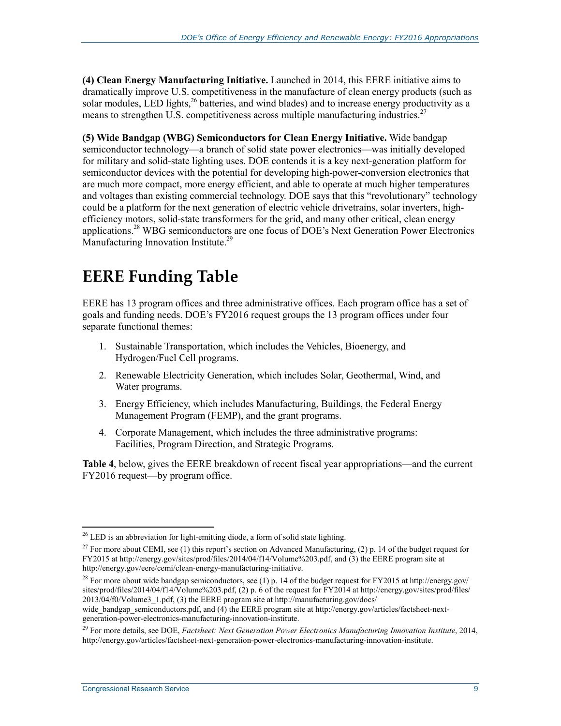**(4) Clean Energy Manufacturing Initiative.** Launched in 2014, this EERE initiative aims to dramatically improve U.S. competitiveness in the manufacture of clean energy products (such as solar modules, LED lights,  $^{26}$  batteries, and wind blades) and to increase energy productivity as a means to strengthen U.S. competitiveness across multiple manufacturing industries.<sup>27</sup>

**(5) Wide Bandgap (WBG) Semiconductors for Clean Energy Initiative.** Wide bandgap semiconductor technology—a branch of solid state power electronics—was initially developed for military and solid-state lighting uses. DOE contends it is a key next-generation platform for semiconductor devices with the potential for developing high-power-conversion electronics that are much more compact, more energy efficient, and able to operate at much higher temperatures and voltages than existing commercial technology. DOE says that this "revolutionary" technology could be a platform for the next generation of electric vehicle drivetrains, solar inverters, highefficiency motors, solid-state transformers for the grid, and many other critical, clean energy applications.28 WBG semiconductors are one focus of DOE's Next Generation Power Electronics Manufacturing Innovation Institute.<sup>29</sup>

# **EERE Funding Table**

EERE has 13 program offices and three administrative offices. Each program office has a set of goals and funding needs. DOE's FY2016 request groups the 13 program offices under four separate functional themes:

- 1. Sustainable Transportation, which includes the Vehicles, Bioenergy, and Hydrogen/Fuel Cell programs.
- 2. Renewable Electricity Generation, which includes Solar, Geothermal, Wind, and Water programs.
- 3. Energy Efficiency, which includes Manufacturing, Buildings, the Federal Energy Management Program (FEMP), and the grant programs.
- 4. Corporate Management, which includes the three administrative programs: Facilities, Program Direction, and Strategic Programs.

**Table 4**, below, gives the EERE breakdown of recent fiscal year appropriations—and the current FY2016 request—by program office.

<u>.</u>

 $26$  LED is an abbreviation for light-emitting diode, a form of solid state lighting.

<sup>&</sup>lt;sup>27</sup> For more about CEMI, see (1) this report's section on Advanced Manufacturing, (2) p. 14 of the budget request for FY2015 at http://energy.gov/sites/prod/files/2014/04/f14/Volume%203.pdf, and (3) the EERE program site at http://energy.gov/eere/cemi/clean-energy-manufacturing-initiative.

<sup>&</sup>lt;sup>28</sup> For more about wide bandgap semiconductors, see (1) p. 14 of the budget request for FY2015 at http://energy.gov/ sites/prod/files/2014/04/f14/Volume%203.pdf, (2) p. 6 of the request for FY2014 at http://energy.gov/sites/prod/files/ 2013/04/f0/Volume3\_1.pdf, (3) the EERE program site at http://manufacturing.gov/docs/

wide\_bandgap\_semiconductors.pdf, and (4) the EERE program site at http://energy.gov/articles/factsheet-nextgeneration-power-electronics-manufacturing-innovation-institute.

<sup>&</sup>lt;sup>29</sup> For more details, see DOE, *Factsheet: Next Generation Power Electronics Manufacturing Innovation Institute*, 2014, http://energy.gov/articles/factsheet-next-generation-power-electronics-manufacturing-innovation-institute.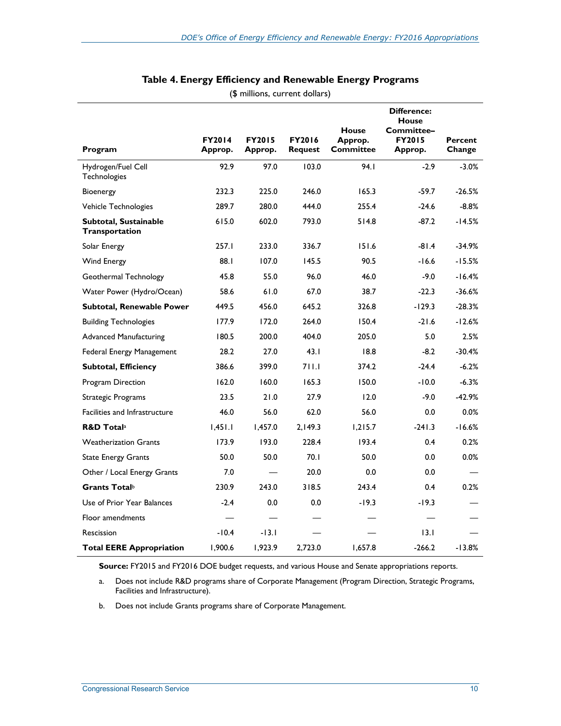|                                         |                          |                          |                          | <b>House</b>         | <b>Difference:</b><br><b>House</b><br>Committee- |                   |
|-----------------------------------------|--------------------------|--------------------------|--------------------------|----------------------|--------------------------------------------------|-------------------|
| Program                                 | <b>FY2014</b><br>Approp. | <b>FY2015</b><br>Approp. | <b>FY2016</b><br>Request | Approp.<br>Committee | <b>FY2015</b><br>Approp.                         | Percent<br>Change |
| Hydrogen/Fuel Cell<br>Technologies      | 92.9                     | 97.0                     | 103.0                    | 94.I                 | $-2.9$                                           | $-3.0%$           |
| <b>Bioenergy</b>                        | 232.3                    | 225.0                    | 246.0                    | 165.3                | $-59.7$                                          | $-26.5%$          |
| Vehicle Technologies                    | 289.7                    | 280.0                    | 444.0                    | 255.4                | $-24.6$                                          | $-8.8%$           |
| Subtotal, Sustainable<br>Transportation | 615.0                    | 602.0                    | 793.0                    | 514.8                | $-87.2$                                          | -14.5%            |
| Solar Energy                            | 257.I                    | 233.0                    | 336.7                    | 151.6                | $-81.4$                                          | $-34.9%$          |
| Wind Energy                             | 88.1                     | 107.0                    | 145.5                    | 90.5                 | $-16.6$                                          | $-15.5%$          |
| Geothermal Technology                   | 45.8                     | 55.0                     | 96.0                     | 46.0                 | $-9.0$                                           | $-16.4%$          |
| Water Power (Hydro/Ocean)               | 58.6                     | 61.0                     | 67.0                     | 38.7                 | $-22.3$                                          | $-36.6%$          |
| Subtotal, Renewable Power               | 449.5                    | 456.0                    | 645.2                    | 326.8                | $-129.3$                                         | $-28.3%$          |
| <b>Building Technologies</b>            | 177.9                    | 172.0                    | 264.0                    | 150.4                | $-21.6$                                          | $-12.6%$          |
| <b>Advanced Manufacturing</b>           | 180.5                    | 200.0                    | 404.0                    | 205.0                | 5.0                                              | 2.5%              |
| Federal Energy Management               | 28.2                     | 27.0                     | 43.1                     | 18.8                 | $-8.2$                                           | $-30.4%$          |
| <b>Subtotal, Efficiency</b>             | 386.6                    | 399.0                    | 711.1                    | 374.2                | $-24.4$                                          | $-6.2%$           |
| Program Direction                       | 162.0                    | 160.0                    | 165.3                    | 150.0                | $-10.0$                                          | $-6.3%$           |
| Strategic Programs                      | 23.5                     | 21.0                     | 27.9                     | 12.0                 | $-9.0$                                           | $-42.9%$          |
| Facilities and Infrastructure           | 46.0                     | 56.0                     | 62.0                     | 56.0                 | 0.0                                              | 0.0%              |
| <b>R&amp;D Totala</b>                   | 1,451.1                  | 1,457.0                  | 2.149.3                  | 1.215.7              | $-241.3$                                         | $-16.6%$          |
| <b>Weatherization Grants</b>            | 173.9                    | 193.0                    | 228.4                    | 193.4                | 0.4                                              | 0.2%              |
| <b>State Energy Grants</b>              | 50.0                     | 50.0                     | 70.1                     | 50.0                 | 0.0                                              | 0.0%              |
| Other / Local Energy Grants             | 7.0                      |                          | 20.0                     | 0.0                  | 0.0                                              |                   |
| Grants Total <sup>b</sup>               | 230.9                    | 243.0                    | 318.5                    | 243.4                | 0.4                                              | 0.2%              |
| Use of Prior Year Balances              | $-2.4$                   | 0.0                      | 0.0                      | $-19.3$              | $-19.3$                                          |                   |
| Floor amendments                        |                          |                          |                          |                      |                                                  |                   |
| Rescission                              | $-10.4$                  | $-13.1$                  |                          |                      | 13.1                                             |                   |
| <b>Total EERE Appropriation</b>         | 1,900.6                  | 1,923.9                  | 2.723.0                  | 1,657.8              | $-266.2$                                         | $-13.8%$          |

#### **Table 4. Energy Efficiency and Renewable Energy Programs**  (\$ millions, current dollars)

**Source:** FY2015 and FY2016 DOE budget requests, and various House and Senate appropriations reports.

a. Does not include R&D programs share of Corporate Management (Program Direction, Strategic Programs, Facilities and Infrastructure).

b. Does not include Grants programs share of Corporate Management.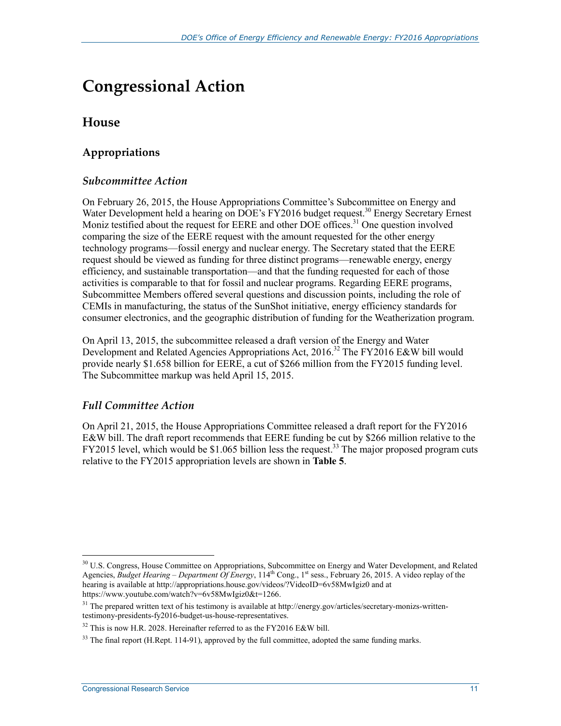# **Congressional Action**

## **House**

## **Appropriations**

#### *Subcommittee Action*

On February 26, 2015, the House Appropriations Committee's Subcommittee on Energy and Water Development held a hearing on DOE's FY2016 budget request.<sup>30</sup> Energy Secretary Ernest Moniz testified about the request for EERE and other DOE offices.<sup>31</sup> One question involved comparing the size of the EERE request with the amount requested for the other energy technology programs—fossil energy and nuclear energy. The Secretary stated that the EERE request should be viewed as funding for three distinct programs—renewable energy, energy efficiency, and sustainable transportation—and that the funding requested for each of those activities is comparable to that for fossil and nuclear programs. Regarding EERE programs, Subcommittee Members offered several questions and discussion points, including the role of CEMIs in manufacturing, the status of the SunShot initiative, energy efficiency standards for consumer electronics, and the geographic distribution of funding for the Weatherization program.

On April 13, 2015, the subcommittee released a draft version of the Energy and Water Development and Related Agencies Appropriations Act, 2016.<sup>32</sup> The FY2016 E&W bill would provide nearly \$1.658 billion for EERE, a cut of \$266 million from the FY2015 funding level. The Subcommittee markup was held April 15, 2015.

### *Full Committee Action*

On April 21, 2015, the House Appropriations Committee released a draft report for the FY2016 E&W bill. The draft report recommends that EERE funding be cut by \$266 million relative to the FY2015 level, which would be \$1.065 billion less the request.<sup>33</sup> The major proposed program cuts relative to the FY2015 appropriation levels are shown in **Table 5**.

<sup>1</sup> <sup>30</sup> U.S. Congress, House Committee on Appropriations, Subcommittee on Energy and Water Development, and Related Agencies, *Budget Hearing – Department Of Energy*, 114<sup>th</sup> Cong., 1<sup>st</sup> sess., February 26, 2015. A video replay of the hearing is available at http://appropriations.house.gov/videos/?VideoID=6v58MwIgiz0 and at https://www.youtube.com/watch?v=6v58MwIgiz0&t=1266.

 $31$  The prepared written text of his testimony is available at http://energy.gov/articles/secretary-monizs-writtentestimony-presidents-fy2016-budget-us-house-representatives.

 $32$  This is now H.R. 2028. Hereinafter referred to as the FY2016 E&W bill.

 $33$  The final report (H.Rept. 114-91), approved by the full committee, adopted the same funding marks.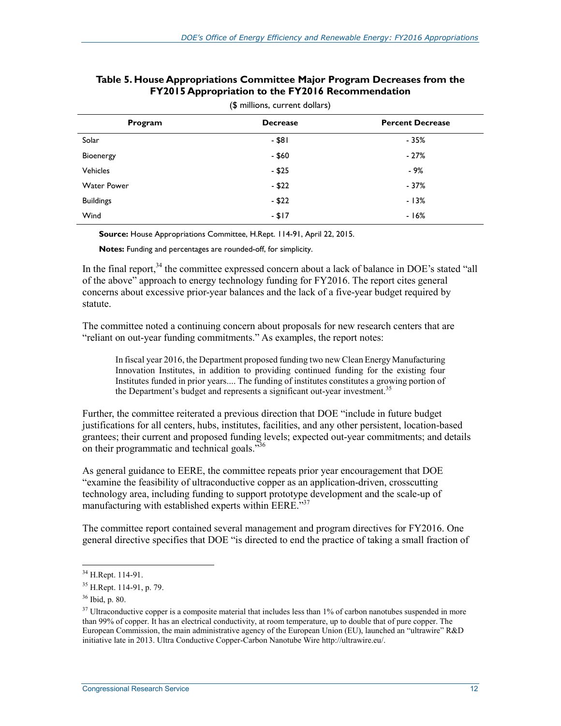| Program            | <b>Decrease</b> | <b>Percent Decrease</b> |
|--------------------|-----------------|-------------------------|
| Solar              | $-$ \$81        | $-35%$                  |
| Bioenergy          | $-$ \$60        | $-27%$                  |
| <b>Vehicles</b>    | $-$ \$25        | - 9%                    |
| <b>Water Power</b> | $- $22$         | $-37%$                  |
| <b>Buildings</b>   | $- $22$         | $-13%$                  |
| Wind               | $- $17$         | $-16%$                  |

#### **Table 5. House Appropriations Committee Major Program Decreases from the FY2015 Appropriation to the FY2016 Recommendation**

(\$ millions, current dollars)

**Source:** House Appropriations Committee, H.Rept. 114-91, April 22, 2015.

**Notes:** Funding and percentages are rounded-off, for simplicity.

In the final report,<sup>34</sup> the committee expressed concern about a lack of balance in DOE's stated "all of the above" approach to energy technology funding for FY2016. The report cites general concerns about excessive prior-year balances and the lack of a five-year budget required by statute.

The committee noted a continuing concern about proposals for new research centers that are "reliant on out-year funding commitments." As examples, the report notes:

In fiscal year 2016, the Department proposed funding two new Clean Energy Manufacturing Innovation Institutes, in addition to providing continued funding for the existing four Institutes funded in prior years.... The funding of institutes constitutes a growing portion of the Department's budget and represents a significant out-year investment.<sup>35</sup>

Further, the committee reiterated a previous direction that DOE "include in future budget justifications for all centers, hubs, institutes, facilities, and any other persistent, location-based grantees; their current and proposed funding levels; expected out-year commitments; and details on their programmatic and technical goals.<sup>336</sup>

As general guidance to EERE, the committee repeats prior year encouragement that DOE "examine the feasibility of ultraconductive copper as an application-driven, crosscutting technology area, including funding to support prototype development and the scale-up of manufacturing with established experts within EERE.<sup>337</sup>

The committee report contained several management and program directives for FY2016. One general directive specifies that DOE "is directed to end the practice of taking a small fraction of

<sup>&</sup>lt;sup>34</sup> H.Rept. 114-91.

<sup>35</sup> H.Rept. 114-91, p. 79.

<sup>36</sup> Ibid, p. 80.

 $37$  Ultraconductive copper is a composite material that includes less than  $1\%$  of carbon nanotubes suspended in more than 99% of copper. It has an electrical conductivity, at room temperature, up to double that of pure copper. The European Commission, the main administrative agency of the European Union (EU), launched an "ultrawire" R&D initiative late in 2013. Ultra Conductive Copper-Carbon Nanotube Wire http://ultrawire.eu/.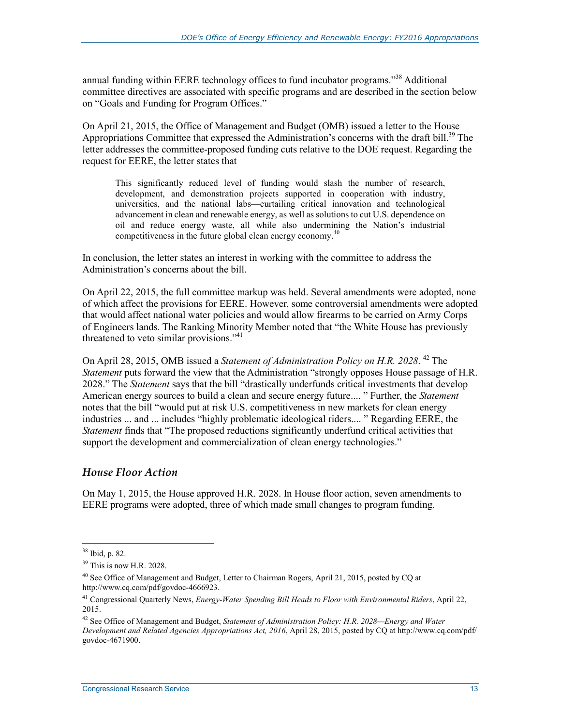annual funding within EERE technology offices to fund incubator programs."<sup>38</sup> Additional committee directives are associated with specific programs and are described in the section below on "Goals and Funding for Program Offices."

On April 21, 2015, the Office of Management and Budget (OMB) issued a letter to the House Appropriations Committee that expressed the Administration's concerns with the draft bill.<sup>39</sup> The letter addresses the committee-proposed funding cuts relative to the DOE request. Regarding the request for EERE, the letter states that

This significantly reduced level of funding would slash the number of research, development, and demonstration projects supported in cooperation with industry, universities, and the national labs—curtailing critical innovation and technological advancement in clean and renewable energy, as well as solutions to cut U.S. dependence on oil and reduce energy waste, all while also undermining the Nation's industrial competitiveness in the future global clean energy economy.<sup>40</sup>

In conclusion, the letter states an interest in working with the committee to address the Administration's concerns about the bill.

On April 22, 2015, the full committee markup was held. Several amendments were adopted, none of which affect the provisions for EERE. However, some controversial amendments were adopted that would affect national water policies and would allow firearms to be carried on Army Corps of Engineers lands. The Ranking Minority Member noted that "the White House has previously threatened to veto similar provisions." $41$ 

On April 28, 2015, OMB issued a *Statement of Administration Policy on H.R. 2028*.<sup>42</sup> The *Statement* puts forward the view that the Administration "strongly opposes House passage of H.R. 2028." The *Statement* says that the bill "drastically underfunds critical investments that develop American energy sources to build a clean and secure energy future.... " Further, the *Statement* notes that the bill "would put at risk U.S. competitiveness in new markets for clean energy industries ... and ... includes "highly problematic ideological riders.... " Regarding EERE, the *Statement* finds that "The proposed reductions significantly underfund critical activities that support the development and commercialization of clean energy technologies."

#### *House Floor Action*

On May 1, 2015, the House approved H.R. 2028. In House floor action, seven amendments to EERE programs were adopted, three of which made small changes to program funding.

<sup>38</sup> Ibid, p. 82.

 $39$  This is now H.R. 2028.

<sup>&</sup>lt;sup>40</sup> See Office of Management and Budget, Letter to Chairman Rogers, April 21, 2015, posted by CQ at http://www.cq.com/pdf/govdoc-4666923.

<sup>41</sup> Congressional Quarterly News, *Energy-Water Spending Bill Heads to Floor with Environmental Riders*, April 22, 2015.

<sup>42</sup> See Office of Management and Budget, *Statement of Administration Policy: H.R. 2028—Energy and Water Development and Related Agencies Appropriations Act, 2016*, April 28, 2015, posted by CQ at http://www.cq.com/pdf/ govdoc-4671900.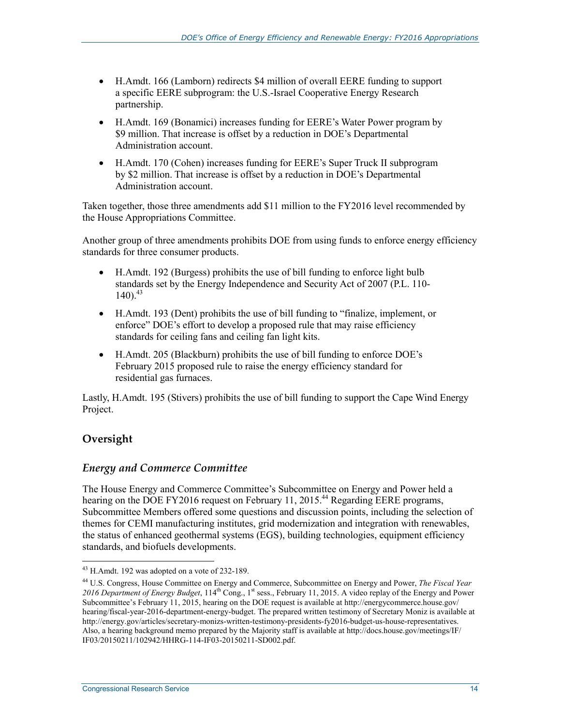- H.Amdt. 166 (Lamborn) redirects \$4 million of overall EERE funding to support a specific EERE subprogram: the U.S.-Israel Cooperative Energy Research partnership.
- H.Amdt. 169 (Bonamici) increases funding for EERE's Water Power program by \$9 million. That increase is offset by a reduction in DOE's Departmental Administration account.
- H.Amdt. 170 (Cohen) increases funding for EERE's Super Truck II subprogram by \$2 million. That increase is offset by a reduction in DOE's Departmental Administration account.

Taken together, those three amendments add \$11 million to the FY2016 level recommended by the House Appropriations Committee.

Another group of three amendments prohibits DOE from using funds to enforce energy efficiency standards for three consumer products.

- H.Amdt. 192 (Burgess) prohibits the use of bill funding to enforce light bulb standards set by the Energy Independence and Security Act of 2007 (P.L. 110-  $140$ .  $43$
- H.Amdt. 193 (Dent) prohibits the use of bill funding to "finalize, implement, or enforce" DOE's effort to develop a proposed rule that may raise efficiency standards for ceiling fans and ceiling fan light kits.
- H.Amdt. 205 (Blackburn) prohibits the use of bill funding to enforce DOE's February 2015 proposed rule to raise the energy efficiency standard for residential gas furnaces.

Lastly, H.Amdt. 195 (Stivers) prohibits the use of bill funding to support the Cape Wind Energy Project.

## **Oversight**

1

### *Energy and Commerce Committee*

The House Energy and Commerce Committee's Subcommittee on Energy and Power held a hearing on the DOE FY2016 request on February 11, 2015.<sup>44</sup> Regarding EERE programs, Subcommittee Members offered some questions and discussion points, including the selection of themes for CEMI manufacturing institutes, grid modernization and integration with renewables, the status of enhanced geothermal systems (EGS), building technologies, equipment efficiency standards, and biofuels developments.

<sup>&</sup>lt;sup>43</sup> H.Amdt. 192 was adopted on a vote of 232-189.

<sup>44</sup> U.S. Congress, House Committee on Energy and Commerce, Subcommittee on Energy and Power, *The Fiscal Year*  2016 Department of Energy Budget, 114<sup>th</sup> Cong., 1<sup>st</sup> sess., February 11, 2015. A video replay of the Energy and Power Subcommittee's February 11, 2015, hearing on the DOE request is available at http://energycommerce.house.gov/ hearing/fiscal-year-2016-department-energy-budget. The prepared written testimony of Secretary Moniz is available at http://energy.gov/articles/secretary-monizs-written-testimony-presidents-fy2016-budget-us-house-representatives. Also, a hearing background memo prepared by the Majority staff is available at http://docs.house.gov/meetings/IF/ IF03/20150211/102942/HHRG-114-IF03-20150211-SD002.pdf.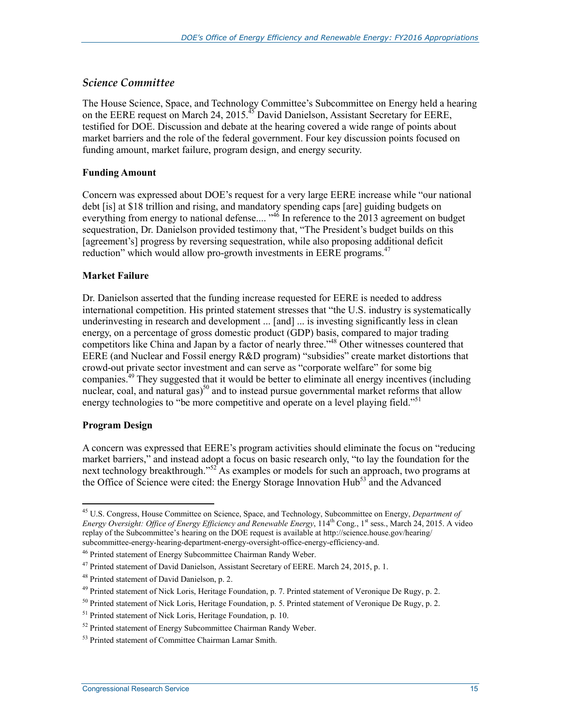#### *Science Committee*

The House Science, Space, and Technology Committee's Subcommittee on Energy held a hearing on the EERE request on March 24, 2015.<sup>45</sup> David Danielson, Assistant Secretary for EERE, testified for DOE. Discussion and debate at the hearing covered a wide range of points about market barriers and the role of the federal government. Four key discussion points focused on funding amount, market failure, program design, and energy security.

#### **Funding Amount**

Concern was expressed about DOE's request for a very large EERE increase while "our national debt [is] at \$18 trillion and rising, and mandatory spending caps [are] guiding budgets on everything from energy to national defense....<sup>346</sup> In reference to the 2013 agreement on budget sequestration, Dr. Danielson provided testimony that, "The President's budget builds on this [agreement's] progress by reversing sequestration, while also proposing additional deficit reduction" which would allow pro-growth investments in EERE programs.<sup>47</sup>

#### **Market Failure**

Dr. Danielson asserted that the funding increase requested for EERE is needed to address international competition. His printed statement stresses that "the U.S. industry is systematically underinvesting in research and development ... [and] ... is investing significantly less in clean energy, on a percentage of gross domestic product (GDP) basis, compared to major trading competitors like China and Japan by a factor of nearly three."<sup>48</sup> Other witnesses countered that EERE (and Nuclear and Fossil energy R&D program) "subsidies" create market distortions that crowd-out private sector investment and can serve as "corporate welfare" for some big companies.<sup> $49$ </sup> They suggested that it would be better to eliminate all energy incentives (including nuclear, coal, and natural gas)<sup>50</sup> and to instead pursue governmental market reforms that allow energy technologies to "be more competitive and operate on a level playing field."<sup>51</sup>

#### **Program Design**

1

A concern was expressed that EERE's program activities should eliminate the focus on "reducing market barriers," and instead adopt a focus on basic research only, "to lay the foundation for the next technology breakthrough."<sup>52</sup> As examples or models for such an approach, two programs at the Office of Science were cited: the Energy Storage Innovation Hub<sup>53</sup> and the Advanced

<sup>45</sup> U.S. Congress, House Committee on Science, Space, and Technology, Subcommittee on Energy, *Department of Energy Oversight: Office of Energy Efficiency and Renewable Energy*, 114<sup>th</sup> Cong., 1<sup>st</sup> sess., March 24, 2015. A video replay of the Subcommittee's hearing on the DOE request is available at http://science.house.gov/hearing/ subcommittee-energy-hearing-department-energy-oversight-office-energy-efficiency-and.

<sup>46</sup> Printed statement of Energy Subcommittee Chairman Randy Weber.

 $^{47}$  Printed statement of David Danielson, Assistant Secretary of EERE. March 24, 2015, p. 1.

<sup>48</sup> Printed statement of David Danielson, p. 2.

<sup>&</sup>lt;sup>49</sup> Printed statement of Nick Loris, Heritage Foundation, p. 7. Printed statement of Veronique De Rugy, p. 2.

 $50$  Printed statement of Nick Loris, Heritage Foundation, p. 5. Printed statement of Veronique De Rugy, p. 2.

<sup>51</sup> Printed statement of Nick Loris, Heritage Foundation, p. 10.

<sup>&</sup>lt;sup>52</sup> Printed statement of Energy Subcommittee Chairman Randy Weber.

<sup>53</sup> Printed statement of Committee Chairman Lamar Smith.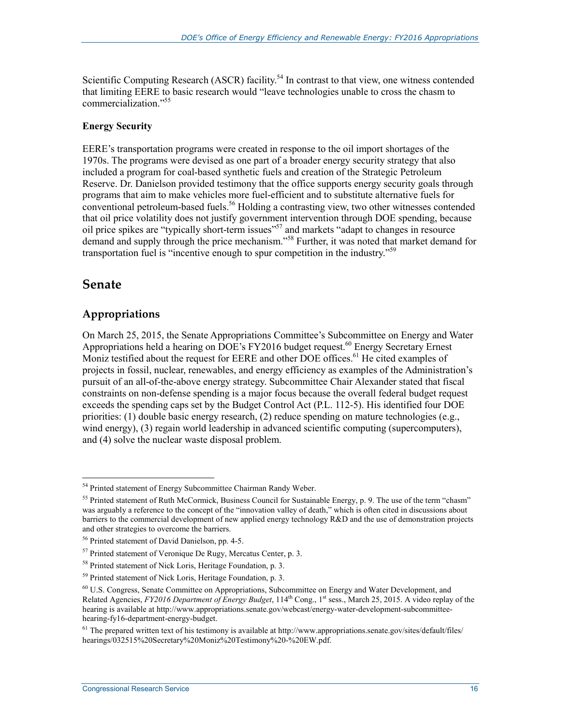Scientific Computing Research (ASCR) facility.<sup>54</sup> In contrast to that view, one witness contended that limiting EERE to basic research would "leave technologies unable to cross the chasm to commercialization."55

#### **Energy Security**

EERE's transportation programs were created in response to the oil import shortages of the 1970s. The programs were devised as one part of a broader energy security strategy that also included a program for coal-based synthetic fuels and creation of the Strategic Petroleum Reserve. Dr. Danielson provided testimony that the office supports energy security goals through programs that aim to make vehicles more fuel-efficient and to substitute alternative fuels for conventional petroleum-based fuels.<sup>56</sup> Holding a contrasting view, two other witnesses contended that oil price volatility does not justify government intervention through DOE spending, because oil price spikes are "typically short-term issues"<sup>57</sup> and markets "adapt to changes in resource demand and supply through the price mechanism."58 Further, it was noted that market demand for transportation fuel is "incentive enough to spur competition in the industry."<sup>59</sup>

## **Senate**

## **Appropriations**

On March 25, 2015, the Senate Appropriations Committee's Subcommittee on Energy and Water Appropriations held a hearing on DOE's FY2016 budget request.<sup>60</sup> Energy Secretary Ernest Moniz testified about the request for EERE and other DOE offices.<sup>61</sup> He cited examples of projects in fossil, nuclear, renewables, and energy efficiency as examples of the Administration's pursuit of an all-of-the-above energy strategy. Subcommittee Chair Alexander stated that fiscal constraints on non-defense spending is a major focus because the overall federal budget request exceeds the spending caps set by the Budget Control Act (P.L. 112-5). His identified four DOE priorities: (1) double basic energy research, (2) reduce spending on mature technologies (e.g., wind energy), (3) regain world leadership in advanced scientific computing (supercomputers), and (4) solve the nuclear waste disposal problem.

<sup>1</sup> 54 Printed statement of Energy Subcommittee Chairman Randy Weber.

<sup>&</sup>lt;sup>55</sup> Printed statement of Ruth McCormick, Business Council for Sustainable Energy, p. 9. The use of the term "chasm" was arguably a reference to the concept of the "innovation valley of death," which is often cited in discussions about barriers to the commercial development of new applied energy technology R&D and the use of demonstration projects and other strategies to overcome the barriers.

<sup>56</sup> Printed statement of David Danielson, pp. 4-5.

<sup>57</sup> Printed statement of Veronique De Rugy, Mercatus Center, p. 3.

<sup>58</sup> Printed statement of Nick Loris, Heritage Foundation, p. 3.

<sup>&</sup>lt;sup>59</sup> Printed statement of Nick Loris, Heritage Foundation, p. 3.

<sup>60</sup> U.S. Congress, Senate Committee on Appropriations, Subcommittee on Energy and Water Development, and Related Agencies, *FY2016 Department of Energy Budget*, 114<sup>th</sup> Cong., 1<sup>st</sup> sess., March 25, 2015. A video replay of the hearing is available at http://www.appropriations.senate.gov/webcast/energy-water-development-subcommitteehearing-fy16-department-energy-budget.

 $61$  The prepared written text of his testimony is available at http://www.appropriations.senate.gov/sites/default/files/ hearings/032515%20Secretary%20Moniz%20Testimony%20-%20EW.pdf.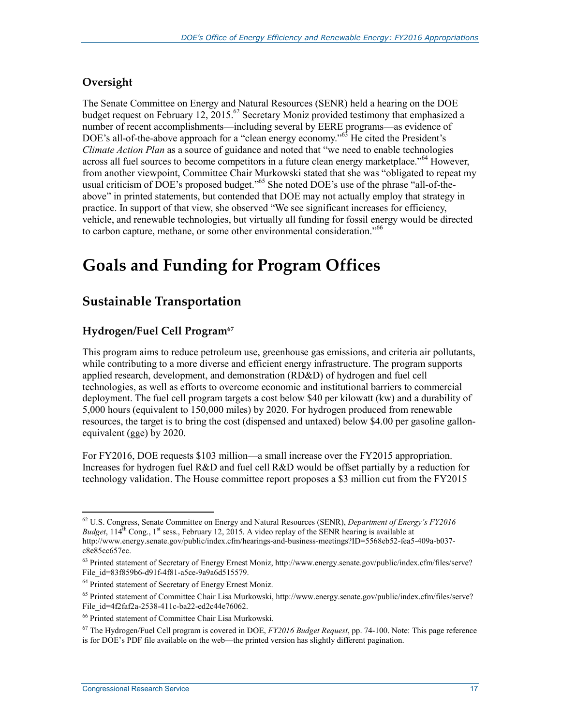## **Oversight**

The Senate Committee on Energy and Natural Resources (SENR) held a hearing on the DOE budget request on February 12,  $2015$ .<sup>62</sup> Secretary Moniz provided testimony that emphasized a number of recent accomplishments—including several by EERE programs—as evidence of DOE's all-of-the-above approach for a "clean energy economy."<sup>63</sup> He cited the President's *Climate Action Plan* as a source of guidance and noted that "we need to enable technologies across all fuel sources to become competitors in a future clean energy marketplace."<sup>64</sup> However, from another viewpoint, Committee Chair Murkowski stated that she was "obligated to repeat my usual criticism of DOE's proposed budget."<sup>65</sup> She noted DOE's use of the phrase "all-of-theabove" in printed statements, but contended that DOE may not actually employ that strategy in practice. In support of that view, she observed "We see significant increases for efficiency, vehicle, and renewable technologies, but virtually all funding for fossil energy would be directed to carbon capture, methane, or some other environmental consideration."<sup>66</sup>

# **Goals and Funding for Program Offices**

## **Sustainable Transportation**

## **Hydrogen/Fuel Cell Program67**

This program aims to reduce petroleum use, greenhouse gas emissions, and criteria air pollutants, while contributing to a more diverse and efficient energy infrastructure. The program supports applied research, development, and demonstration (RD&D) of hydrogen and fuel cell technologies, as well as efforts to overcome economic and institutional barriers to commercial deployment. The fuel cell program targets a cost below \$40 per kilowatt (kw) and a durability of 5,000 hours (equivalent to 150,000 miles) by 2020. For hydrogen produced from renewable resources, the target is to bring the cost (dispensed and untaxed) below \$4.00 per gasoline gallonequivalent (gge) by 2020.

For FY2016, DOE requests \$103 million—a small increase over the FY2015 appropriation. Increases for hydrogen fuel R&D and fuel cell R&D would be offset partially by a reduction for technology validation. The House committee report proposes a \$3 million cut from the FY2015

<sup>62</sup> U.S. Congress, Senate Committee on Energy and Natural Resources (SENR), *Department of Energy's FY2016 Budget*,  $114^{th}$  Cong., 1<sup>st</sup> sess., February 12, 2015. A video replay of the SENR hearing is available at http://www.energy.senate.gov/public/index.cfm/hearings-and-business-meetings?ID=5568eb52-fea5-409a-b037 c8e85cc657ec.

<sup>63</sup> Printed statement of Secretary of Energy Ernest Moniz, http://www.energy.senate.gov/public/index.cfm/files/serve? File\_id=83f859b6-d91f-4f81-a5ce-9a9a6d515579.

<sup>64</sup> Printed statement of Secretary of Energy Ernest Moniz.

<sup>65</sup> Printed statement of Committee Chair Lisa Murkowski, http://www.energy.senate.gov/public/index.cfm/files/serve? File\_id=4f2faf2a-2538-411c-ba22-ed2c44e76062.

<sup>66</sup> Printed statement of Committee Chair Lisa Murkowski.

<sup>67</sup> The Hydrogen/Fuel Cell program is covered in DOE, *FY2016 Budget Request*, pp. 74-100. Note: This page reference is for DOE's PDF file available on the web—the printed version has slightly different pagination.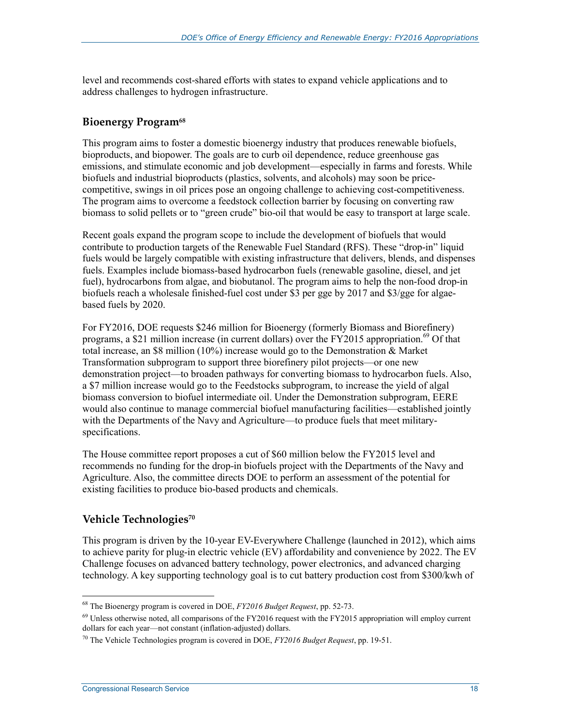level and recommends cost-shared efforts with states to expand vehicle applications and to address challenges to hydrogen infrastructure.

#### **Bioenergy Program<sup>68</sup>**

This program aims to foster a domestic bioenergy industry that produces renewable biofuels, bioproducts, and biopower. The goals are to curb oil dependence, reduce greenhouse gas emissions, and stimulate economic and job development—especially in farms and forests. While biofuels and industrial bioproducts (plastics, solvents, and alcohols) may soon be pricecompetitive, swings in oil prices pose an ongoing challenge to achieving cost-competitiveness. The program aims to overcome a feedstock collection barrier by focusing on converting raw biomass to solid pellets or to "green crude" bio-oil that would be easy to transport at large scale.

Recent goals expand the program scope to include the development of biofuels that would contribute to production targets of the Renewable Fuel Standard (RFS). These "drop-in" liquid fuels would be largely compatible with existing infrastructure that delivers, blends, and dispenses fuels. Examples include biomass-based hydrocarbon fuels (renewable gasoline, diesel, and jet fuel), hydrocarbons from algae, and biobutanol. The program aims to help the non-food drop-in biofuels reach a wholesale finished-fuel cost under \$3 per gge by 2017 and \$3/gge for algaebased fuels by 2020.

For FY2016, DOE requests \$246 million for Bioenergy (formerly Biomass and Biorefinery) programs, a \$21 million increase (in current dollars) over the FY2015 appropriation.<sup>69</sup> Of that total increase, an \$8 million (10%) increase would go to the Demonstration & Market Transformation subprogram to support three biorefinery pilot projects—or one new demonstration project—to broaden pathways for converting biomass to hydrocarbon fuels. Also, a \$7 million increase would go to the Feedstocks subprogram, to increase the yield of algal biomass conversion to biofuel intermediate oil. Under the Demonstration subprogram, EERE would also continue to manage commercial biofuel manufacturing facilities—established jointly with the Departments of the Navy and Agriculture—to produce fuels that meet militaryspecifications.

The House committee report proposes a cut of \$60 million below the FY2015 level and recommends no funding for the drop-in biofuels project with the Departments of the Navy and Agriculture. Also, the committee directs DOE to perform an assessment of the potential for existing facilities to produce bio-based products and chemicals.

### **Vehicle Technologies70**

This program is driven by the 10-year EV-Everywhere Challenge (launched in 2012), which aims to achieve parity for plug-in electric vehicle (EV) affordability and convenience by 2022. The EV Challenge focuses on advanced battery technology, power electronics, and advanced charging technology. A key supporting technology goal is to cut battery production cost from \$300/kwh of

<sup>68</sup> The Bioenergy program is covered in DOE, *FY2016 Budget Request*, pp. 52-73.

<sup>&</sup>lt;sup>69</sup> Unless otherwise noted, all comparisons of the FY2016 request with the FY2015 appropriation will employ current dollars for each year—not constant (inflation-adjusted) dollars.

<sup>70</sup> The Vehicle Technologies program is covered in DOE, *FY2016 Budget Request*, pp. 19-51.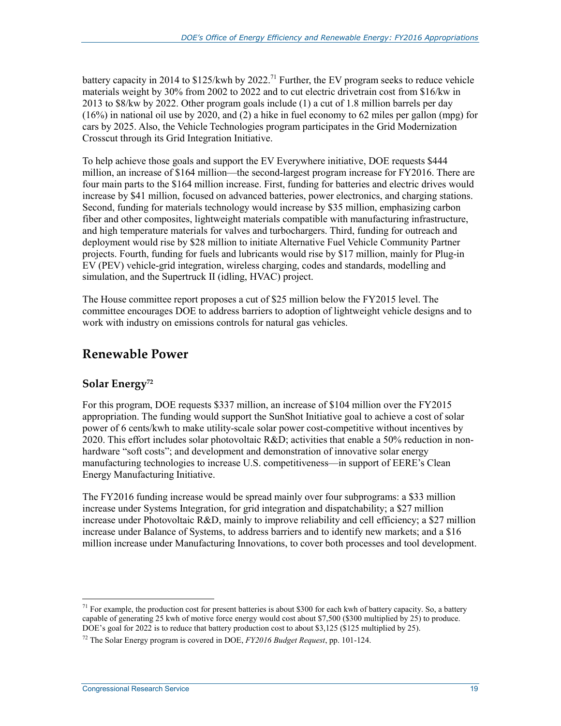battery capacity in 2014 to  $$125/kwh$  by 2022.<sup>71</sup> Further, the EV program seeks to reduce vehicle materials weight by 30% from 2002 to 2022 and to cut electric drivetrain cost from \$16/kw in 2013 to \$8/kw by 2022. Other program goals include (1) a cut of 1.8 million barrels per day (16%) in national oil use by 2020, and (2) a hike in fuel economy to 62 miles per gallon (mpg) for cars by 2025. Also, the Vehicle Technologies program participates in the Grid Modernization Crosscut through its Grid Integration Initiative.

To help achieve those goals and support the EV Everywhere initiative, DOE requests \$444 million, an increase of \$164 million—the second-largest program increase for FY2016. There are four main parts to the \$164 million increase. First, funding for batteries and electric drives would increase by \$41 million, focused on advanced batteries, power electronics, and charging stations. Second, funding for materials technology would increase by \$35 million, emphasizing carbon fiber and other composites, lightweight materials compatible with manufacturing infrastructure, and high temperature materials for valves and turbochargers. Third, funding for outreach and deployment would rise by \$28 million to initiate Alternative Fuel Vehicle Community Partner projects. Fourth, funding for fuels and lubricants would rise by \$17 million, mainly for Plug-in EV (PEV) vehicle-grid integration, wireless charging, codes and standards, modelling and simulation, and the Supertruck II (idling, HVAC) project.

The House committee report proposes a cut of \$25 million below the FY2015 level. The committee encourages DOE to address barriers to adoption of lightweight vehicle designs and to work with industry on emissions controls for natural gas vehicles.

## **Renewable Power**

### **Solar Energy72**

For this program, DOE requests \$337 million, an increase of \$104 million over the FY2015 appropriation. The funding would support the SunShot Initiative goal to achieve a cost of solar power of 6 cents/kwh to make utility-scale solar power cost-competitive without incentives by 2020. This effort includes solar photovoltaic R&D; activities that enable a 50% reduction in nonhardware "soft costs"; and development and demonstration of innovative solar energy manufacturing technologies to increase U.S. competitiveness—in support of EERE's Clean Energy Manufacturing Initiative.

The FY2016 funding increase would be spread mainly over four subprograms: a \$33 million increase under Systems Integration, for grid integration and dispatchability; a \$27 million increase under Photovoltaic R&D, mainly to improve reliability and cell efficiency; a \$27 million increase under Balance of Systems, to address barriers and to identify new markets; and a \$16 million increase under Manufacturing Innovations, to cover both processes and tool development.

<sup>&</sup>lt;sup>71</sup> For example, the production cost for present batteries is about \$300 for each kwh of battery capacity. So, a battery capable of generating 25 kwh of motive force energy would cost about \$7,500 (\$300 multiplied by 25) to produce. DOE's goal for 2022 is to reduce that battery production cost to about \$3,125 (\$125 multiplied by 25).

<sup>72</sup> The Solar Energy program is covered in DOE, *FY2016 Budget Request*, pp. 101-124.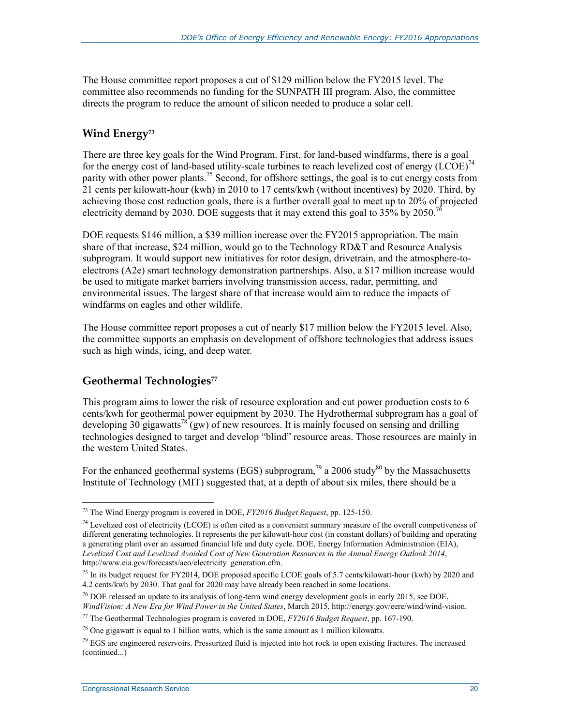The House committee report proposes a cut of \$129 million below the FY2015 level. The committee also recommends no funding for the SUNPATH III program. Also, the committee directs the program to reduce the amount of silicon needed to produce a solar cell.

## **Wind Energy73**

There are three key goals for the Wind Program. First, for land-based windfarms, there is a goal for the energy cost of land-based utility-scale turbines to reach levelized cost of energy  $(LCOE)^{74}$ parity with other power plants.<sup>75</sup> Second, for offshore settings, the goal is to cut energy costs from 21 cents per kilowatt-hour (kwh) in 2010 to 17 cents/kwh (without incentives) by 2020. Third, by achieving those cost reduction goals, there is a further overall goal to meet up to 20% of projected electricity demand by 2030. DOE suggests that it may extend this goal to  $35\%$  by 2050.<sup>76</sup>

DOE requests \$146 million, a \$39 million increase over the FY2015 appropriation. The main share of that increase, \$24 million, would go to the Technology RD&T and Resource Analysis subprogram. It would support new initiatives for rotor design, drivetrain, and the atmosphere-toelectrons (A2e) smart technology demonstration partnerships. Also, a \$17 million increase would be used to mitigate market barriers involving transmission access, radar, permitting, and environmental issues. The largest share of that increase would aim to reduce the impacts of windfarms on eagles and other wildlife.

The House committee report proposes a cut of nearly \$17 million below the FY2015 level. Also, the committee supports an emphasis on development of offshore technologies that address issues such as high winds, icing, and deep water.

## Geothermal Technologies<sup>77</sup>

This program aims to lower the risk of resource exploration and cut power production costs to 6 cents/kwh for geothermal power equipment by 2030. The Hydrothermal subprogram has a goal of developing 30 gigawatts<sup>78</sup> (gw) of new resources. It is mainly focused on sensing and drilling technologies designed to target and develop "blind" resource areas. Those resources are mainly in the western United States.

For the enhanced geothermal systems (EGS) subprogram,<sup>79</sup> a 2006 study<sup>80</sup> by the Massachusetts Institute of Technology (MIT) suggested that, at a depth of about six miles, there should be a

<u>.</u>

<sup>73</sup> The Wind Energy program is covered in DOE, *FY2016 Budget Request*, pp. 125-150.

 $74$  Levelized cost of electricity (LCOE) is often cited as a convenient summary measure of the overall competiveness of different generating technologies. It represents the per kilowatt-hour cost (in constant dollars) of building and operating a generating plant over an assumed financial life and duty cycle. DOE, Energy Information Administration (EIA), *Levelized Cost and Levelized Avoided Cost of New Generation Resources in the Annual Energy Outlook 2014*, http://www.eia.gov/forecasts/aeo/electricity\_generation.cfm.

 $75$  In its budget request for FY2014, DOE proposed specific LCOE goals of 5.7 cents/kilowatt-hour (kwh) by 2020 and 4.2 cents/kwh by 2030. That goal for 2020 may have already been reached in some locations.

<sup>&</sup>lt;sup>76</sup> DOE released an update to its analysis of long-term wind energy development goals in early 2015, see DOE, *WindVision: A New Era for Wind Power in the United States*, March 2015, http://energy.gov/eere/wind/wind-vision.

<sup>77</sup> The Geothermal Technologies program is covered in DOE, *FY2016 Budget Request*, pp. 167-190.

 $^{78}$  One gigawatt is equal to 1 billion watts, which is the same amount as 1 million kilowatts.

 $79$  EGS are engineered reservoirs. Pressurized fluid is injected into hot rock to open existing fractures. The increased (continued...)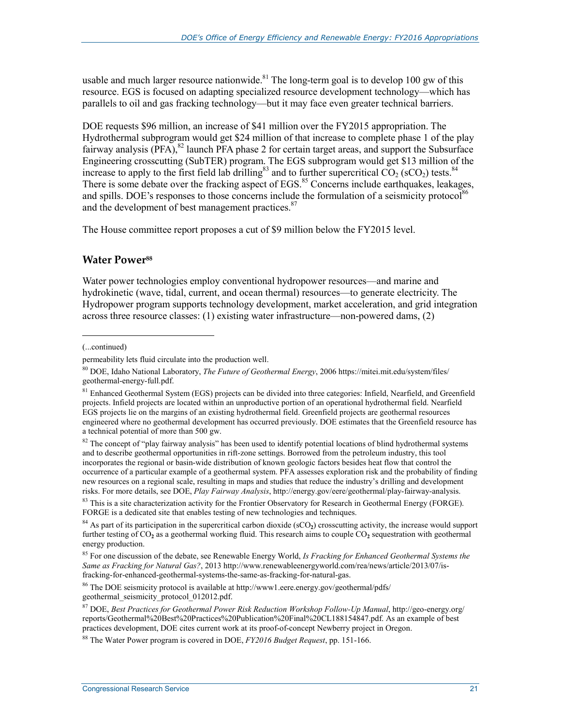usable and much larger resource nationwide. $81$  The long-term goal is to develop 100 gw of this resource. EGS is focused on adapting specialized resource development technology—which has parallels to oil and gas fracking technology—but it may face even greater technical barriers.

DOE requests \$96 million, an increase of \$41 million over the FY2015 appropriation. The Hydrothermal subprogram would get \$24 million of that increase to complete phase 1 of the play fairway analysis  $(PFA)$ ,  $82$  launch PFA phase 2 for certain target areas, and support the Subsurface Engineering crosscutting (SubTER) program. The EGS subprogram would get \$13 million of the increase to apply to the first field lab drilling<sup>83</sup> and to further supercritical  $CO_2$  (sCO<sub>2</sub>) tests.<sup>84</sup> There is some debate over the fracking aspect of EGS.<sup>85</sup> Concerns include earthquakes, leakages, and spills. DOE's responses to those concerns include the formulation of a seismicity protocol<sup>86</sup> and the development of best management practices.<sup>87</sup>

The House committee report proposes a cut of \$9 million below the FY2015 level.

#### **Water Power**88

Water power technologies employ conventional hydropower resources—and marine and hydrokinetic (wave, tidal, current, and ocean thermal) resources—to generate electricity. The Hydropower program supports technology development, market acceleration, and grid integration across three resource classes: (1) existing water infrastructure—non-powered dams, (2)

 $\overline{a}$ 

 $82$  The concept of "play fairway analysis" has been used to identify potential locations of blind hydrothermal systems and to describe geothermal opportunities in rift-zone settings. Borrowed from the petroleum industry, this tool incorporates the regional or basin-wide distribution of known geologic factors besides heat flow that control the occurrence of a particular example of a geothermal system. PFA assesses exploration risk and the probability of finding new resources on a regional scale, resulting in maps and studies that reduce the industry's drilling and development risks. For more details, see DOE, *Play Fairway Analysis*, http://energy.gov/eere/geothermal/play-fairway-analysis.

85 For one discussion of the debate, see Renewable Energy World, *Is Fracking for Enhanced Geothermal Systems the Same as Fracking for Natural Gas?*, 2013 http://www.renewableenergyworld.com/rea/news/article/2013/07/isfracking-for-enhanced-geothermal-systems-the-same-as-fracking-for-natural-gas.

86 The DOE seismicity protocol is available at http://www1.eere.energy.gov/geothermal/pdfs/ geothermal\_seismicity\_protocol\_012012.pdf.

<sup>(...</sup>continued)

permeability lets fluid circulate into the production well.

<sup>80</sup> DOE, Idaho National Laboratory, *The Future of Geothermal Energy*, 2006 https://mitei.mit.edu/system/files/ geothermal-energy-full.pdf.

<sup>&</sup>lt;sup>81</sup> Enhanced Geothermal System (EGS) projects can be divided into three categories: Infield, Nearfield, and Greenfield projects. Infield projects are located within an unproductive portion of an operational hydrothermal field. Nearfield EGS projects lie on the margins of an existing hydrothermal field. Greenfield projects are geothermal resources engineered where no geothermal development has occurred previously. DOE estimates that the Greenfield resource has a technical potential of more than 500 gw.

<sup>&</sup>lt;sup>83</sup> This is a site characterization activity for the Frontier Observatory for Research in Geothermal Energy (FORGE). FORGE is a dedicated site that enables testing of new technologies and techniques.

 $84$  As part of its participation in the supercritical carbon dioxide ( $sCO<sub>2</sub>$ ) crosscutting activity, the increase would support further testing of CO**2** as a geothermal working fluid. This research aims to couple CO**2** sequestration with geothermal energy production.

<sup>87</sup> DOE, *Best Practices for Geothermal Power Risk Reduction Workshop Follow-Up Manual*, http://geo-energy.org/ reports/Geothermal%20Best%20Practices%20Publication%20Final%20CL188154847.pdf. As an example of best practices development, DOE cites current work at its proof-of-concept Newberry project in Oregon.

<sup>88</sup> The Water Power program is covered in DOE, *FY2016 Budget Request*, pp. 151-166.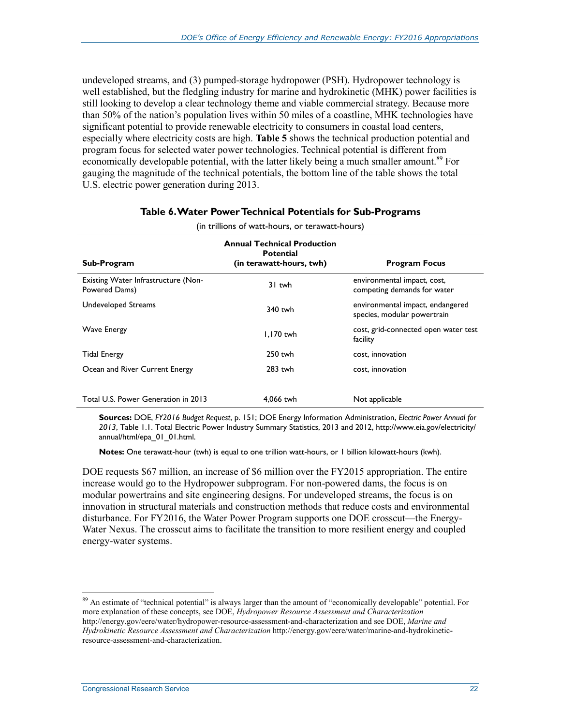undeveloped streams, and (3) pumped-storage hydropower (PSH). Hydropower technology is well established, but the fledgling industry for marine and hydrokinetic (MHK) power facilities is still looking to develop a clear technology theme and viable commercial strategy. Because more than 50% of the nation's population lives within 50 miles of a coastline, MHK technologies have significant potential to provide renewable electricity to consumers in coastal load centers, especially where electricity costs are high. **Table 5** shows the technical production potential and program focus for selected water power technologies. Technical potential is different from economically developable potential, with the latter likely being a much smaller amount.<sup>89</sup> For gauging the magnitude of the technical potentials, the bottom line of the table shows the total U.S. electric power generation during 2013.

| Sub-Program                                          | <b>Annual Technical Production</b><br><b>Potential</b><br>(in terawatt-hours, twh) | <b>Program Focus</b>                                            |  |  |  |  |
|------------------------------------------------------|------------------------------------------------------------------------------------|-----------------------------------------------------------------|--|--|--|--|
| Existing Water Infrastructure (Non-<br>Powered Dams) | 31 twh                                                                             | environmental impact, cost,<br>competing demands for water      |  |  |  |  |
| Undeveloped Streams                                  | $340$ twh                                                                          | environmental impact, endangered<br>species, modular powertrain |  |  |  |  |
| <b>Wave Energy</b>                                   | $1.170$ twh                                                                        | cost, grid-connected open water test<br>facility                |  |  |  |  |
| <b>Tidal Energy</b>                                  | $250$ twh                                                                          | cost, innovation                                                |  |  |  |  |
| Ocean and River Current Energy                       | $283$ twh                                                                          | cost, innovation                                                |  |  |  |  |
| Total U.S. Power Generation in 2013                  | 4.066 twh                                                                          | Not applicable                                                  |  |  |  |  |

#### **Table 6. Water Power Technical Potentials for Sub-Programs**  (in trillions of watt-hours, or terawatt-hours)

**Sources:** DOE, *FY2016 Budget Request*, p. 151; DOE Energy Information Administration, *Electric Power Annual for 2013*, Table 1.1. Total Electric Power Industry Summary Statistics, 2013 and 2012, http://www.eia.gov/electricity/ annual/html/epa\_01\_01.html.

**Notes:** One terawatt-hour (twh) is equal to one trillion watt-hours, or 1 billion kilowatt-hours (kwh).

DOE requests \$67 million, an increase of \$6 million over the FY2015 appropriation. The entire increase would go to the Hydropower subprogram. For non-powered dams, the focus is on modular powertrains and site engineering designs. For undeveloped streams, the focus is on innovation in structural materials and construction methods that reduce costs and environmental disturbance. For FY2016, the Water Power Program supports one DOE crosscut—the Energy-Water Nexus. The crosscut aims to facilitate the transition to more resilient energy and coupled energy-water systems.

 $89$  An estimate of "technical potential" is always larger than the amount of "economically developable" potential. For more explanation of these concepts, see DOE, *Hydropower Resource Assessment and Characterization* http://energy.gov/eere/water/hydropower-resource-assessment-and-characterization and see DOE, *Marine and Hydrokinetic Resource Assessment and Characterization* http://energy.gov/eere/water/marine-and-hydrokineticresource-assessment-and-characterization.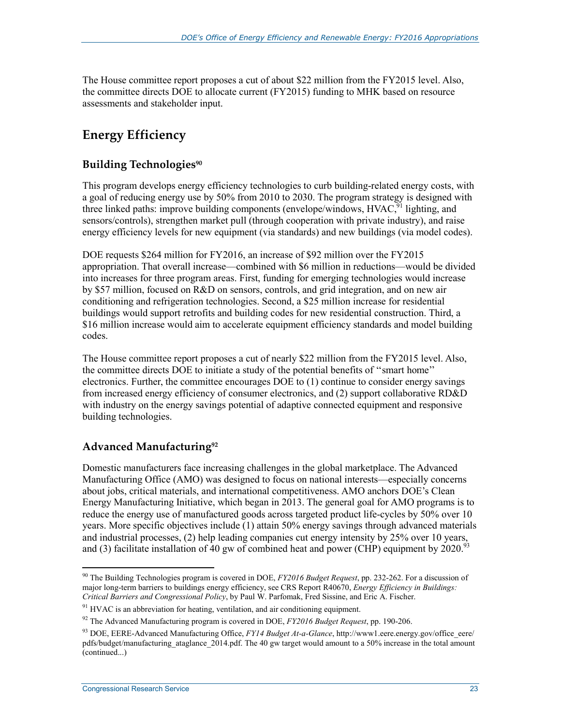The House committee report proposes a cut of about \$22 million from the FY2015 level. Also, the committee directs DOE to allocate current (FY2015) funding to MHK based on resource assessments and stakeholder input.

## **Energy Efficiency**

## **Building Technologies<sup>90</sup>**

This program develops energy efficiency technologies to curb building-related energy costs, with a goal of reducing energy use by 50% from 2010 to 2030. The program strategy is designed with three linked paths: improve building components (envelope/windows,  $HVAC$ ,<sup>91</sup> lighting, and sensors/controls), strengthen market pull (through cooperation with private industry), and raise energy efficiency levels for new equipment (via standards) and new buildings (via model codes).

DOE requests \$264 million for FY2016, an increase of \$92 million over the FY2015 appropriation. That overall increase—combined with \$6 million in reductions—would be divided into increases for three program areas. First, funding for emerging technologies would increase by \$57 million, focused on R&D on sensors, controls, and grid integration, and on new air conditioning and refrigeration technologies. Second, a \$25 million increase for residential buildings would support retrofits and building codes for new residential construction. Third, a \$16 million increase would aim to accelerate equipment efficiency standards and model building codes.

The House committee report proposes a cut of nearly \$22 million from the FY2015 level. Also, the committee directs DOE to initiate a study of the potential benefits of ''smart home'' electronics. Further, the committee encourages DOE to (1) continue to consider energy savings from increased energy efficiency of consumer electronics, and (2) support collaborative RD&D with industry on the energy savings potential of adaptive connected equipment and responsive building technologies.

## **Advanced Manufacturing92**

Domestic manufacturers face increasing challenges in the global marketplace. The Advanced Manufacturing Office (AMO) was designed to focus on national interests—especially concerns about jobs, critical materials, and international competitiveness. AMO anchors DOE's Clean Energy Manufacturing Initiative, which began in 2013. The general goal for AMO programs is to reduce the energy use of manufactured goods across targeted product life-cycles by 50% over 10 years. More specific objectives include (1) attain 50% energy savings through advanced materials and industrial processes, (2) help leading companies cut energy intensity by 25% over 10 years, and (3) facilitate installation of 40 gw of combined heat and power (CHP) equipment by 2020.<sup>93</sup>

<sup>1</sup> 90 The Building Technologies program is covered in DOE, *FY2016 Budget Request*, pp. 232-262. For a discussion of major long-term barriers to buildings energy efficiency, see CRS Report R40670, *Energy Efficiency in Buildings: Critical Barriers and Congressional Policy*, by Paul W. Parfomak, Fred Sissine, and Eric A. Fischer.

 $91$  HVAC is an abbreviation for heating, ventilation, and air conditioning equipment.

<sup>92</sup> The Advanced Manufacturing program is covered in DOE, *FY2016 Budget Request*, pp. 190-206.

<sup>&</sup>lt;sup>93</sup> DOE, EERE-Advanced Manufacturing Office, *FY14 Budget At-a-Glance*, http://www1.eere.energy.gov/office\_eere/ pdfs/budget/manufacturing\_ataglance\_2014.pdf. The 40 gw target would amount to a 50% increase in the total amount (continued...)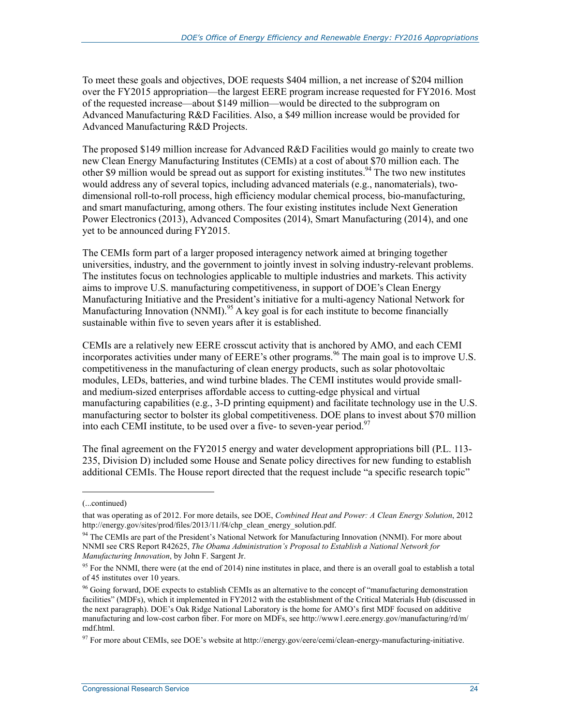To meet these goals and objectives, DOE requests \$404 million, a net increase of \$204 million over the FY2015 appropriation—the largest EERE program increase requested for FY2016. Most of the requested increase—about \$149 million—would be directed to the subprogram on Advanced Manufacturing R&D Facilities. Also, a \$49 million increase would be provided for Advanced Manufacturing R&D Projects.

The proposed \$149 million increase for Advanced R&D Facilities would go mainly to create two new Clean Energy Manufacturing Institutes (CEMIs) at a cost of about \$70 million each. The other \$9 million would be spread out as support for existing institutes.<sup>94</sup> The two new institutes would address any of several topics, including advanced materials (e.g., nanomaterials), twodimensional roll-to-roll process, high efficiency modular chemical process, bio-manufacturing, and smart manufacturing, among others. The four existing institutes include Next Generation Power Electronics (2013), Advanced Composites (2014), Smart Manufacturing (2014), and one yet to be announced during FY2015.

The CEMIs form part of a larger proposed interagency network aimed at bringing together universities, industry, and the government to jointly invest in solving industry-relevant problems. The institutes focus on technologies applicable to multiple industries and markets. This activity aims to improve U.S. manufacturing competitiveness, in support of DOE's Clean Energy Manufacturing Initiative and the President's initiative for a multi-agency National Network for Manufacturing Innovation (NNMI).<sup>95</sup> A key goal is for each institute to become financially sustainable within five to seven years after it is established.

CEMIs are a relatively new EERE crosscut activity that is anchored by AMO, and each CEMI incorporates activities under many of EERE's other programs.<sup>96</sup> The main goal is to improve U.S. competitiveness in the manufacturing of clean energy products, such as solar photovoltaic modules, LEDs, batteries, and wind turbine blades. The CEMI institutes would provide smalland medium-sized enterprises affordable access to cutting-edge physical and virtual manufacturing capabilities (e.g., 3-D printing equipment) and facilitate technology use in the U.S. manufacturing sector to bolster its global competitiveness. DOE plans to invest about \$70 million into each CEMI institute, to be used over a five- to seven-year period.<sup>97</sup>

The final agreement on the FY2015 energy and water development appropriations bill (P.L. 113- 235, Division D) included some House and Senate policy directives for new funding to establish additional CEMIs. The House report directed that the request include "a specific research topic"

 $\overline{a}$ 

<sup>(...</sup>continued)

that was operating as of 2012. For more details, see DOE, *Combined Heat and Power: A Clean Energy Solution*, 2012 http://energy.gov/sites/prod/files/2013/11/f4/chp\_clean\_energy\_solution.pdf.

<sup>&</sup>lt;sup>94</sup> The CEMIs are part of the President's National Network for Manufacturing Innovation (NNMI). For more about NNMI see CRS Report R42625, *The Obama Administration's Proposal to Establish a National Network for Manufacturing Innovation*, by John F. Sargent Jr.

 $95$  For the NNMI, there were (at the end of 2014) nine institutes in place, and there is an overall goal to establish a total of 45 institutes over 10 years.

<sup>&</sup>lt;sup>96</sup> Going forward, DOE expects to establish CEMIs as an alternative to the concept of "manufacturing demonstration" facilities" (MDFs), which it implemented in FY2012 with the establishment of the Critical Materials Hub (discussed in the next paragraph). DOE's Oak Ridge National Laboratory is the home for AMO's first MDF focused on additive manufacturing and low-cost carbon fiber. For more on MDFs, see http://www1.eere.energy.gov/manufacturing/rd/m/ mdf.html.

 $97$  For more about CEMIs, see DOE's website at http://energy.gov/eere/cemi/clean-energy-manufacturing-initiative.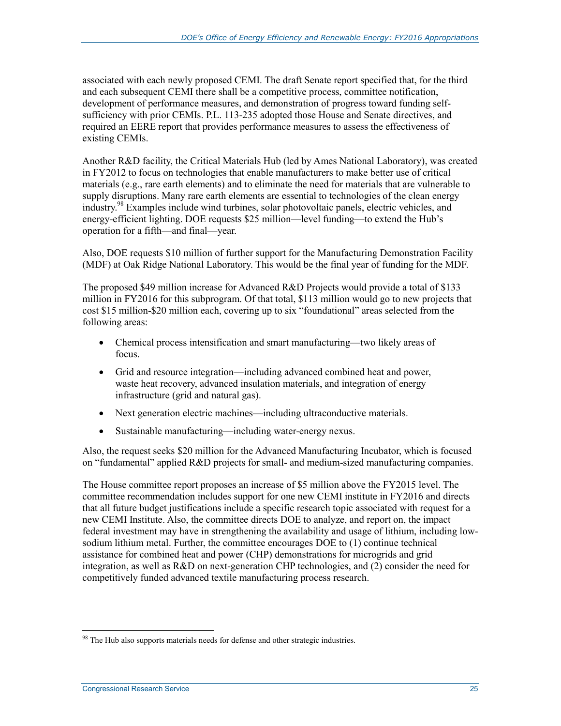associated with each newly proposed CEMI. The draft Senate report specified that, for the third and each subsequent CEMI there shall be a competitive process, committee notification, development of performance measures, and demonstration of progress toward funding selfsufficiency with prior CEMIs. P.L. 113-235 adopted those House and Senate directives, and required an EERE report that provides performance measures to assess the effectiveness of existing CEMIs.

Another R&D facility, the Critical Materials Hub (led by Ames National Laboratory), was created in FY2012 to focus on technologies that enable manufacturers to make better use of critical materials (e.g., rare earth elements) and to eliminate the need for materials that are vulnerable to supply disruptions. Many rare earth elements are essential to technologies of the clean energy industry.98 Examples include wind turbines, solar photovoltaic panels, electric vehicles, and energy-efficient lighting. DOE requests \$25 million—level funding—to extend the Hub's operation for a fifth—and final—year.

Also, DOE requests \$10 million of further support for the Manufacturing Demonstration Facility (MDF) at Oak Ridge National Laboratory. This would be the final year of funding for the MDF.

The proposed \$49 million increase for Advanced R&D Projects would provide a total of \$133 million in FY2016 for this subprogram. Of that total, \$113 million would go to new projects that cost \$15 million-\$20 million each, covering up to six "foundational" areas selected from the following areas:

- Chemical process intensification and smart manufacturing—two likely areas of focus.
- Grid and resource integration—including advanced combined heat and power, waste heat recovery, advanced insulation materials, and integration of energy infrastructure (grid and natural gas).
- Next generation electric machines—including ultraconductive materials.
- Sustainable manufacturing—including water-energy nexus.

Also, the request seeks \$20 million for the Advanced Manufacturing Incubator, which is focused on "fundamental" applied R&D projects for small- and medium-sized manufacturing companies.

The House committee report proposes an increase of \$5 million above the FY2015 level. The committee recommendation includes support for one new CEMI institute in FY2016 and directs that all future budget justifications include a specific research topic associated with request for a new CEMI Institute. Also, the committee directs DOE to analyze, and report on, the impact federal investment may have in strengthening the availability and usage of lithium, including lowsodium lithium metal. Further, the committee encourages DOE to (1) continue technical assistance for combined heat and power (CHP) demonstrations for microgrids and grid integration, as well as R&D on next-generation CHP technologies, and (2) consider the need for competitively funded advanced textile manufacturing process research.

<sup>&</sup>lt;u>.</u>  $98$  The Hub also supports materials needs for defense and other strategic industries.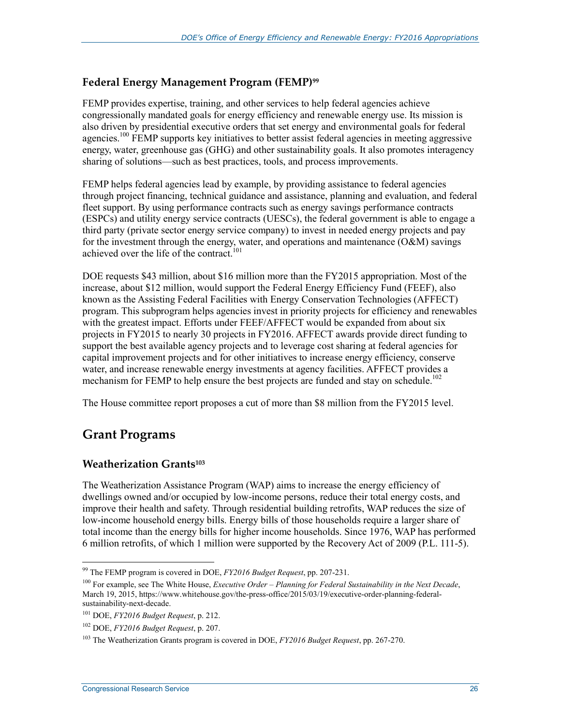### **Federal Energy Management Program (FEMP)99**

FEMP provides expertise, training, and other services to help federal agencies achieve congressionally mandated goals for energy efficiency and renewable energy use. Its mission is also driven by presidential executive orders that set energy and environmental goals for federal agencies.<sup>100</sup> FEMP supports key initiatives to better assist federal agencies in meeting aggressive energy, water, greenhouse gas (GHG) and other sustainability goals. It also promotes interagency sharing of solutions—such as best practices, tools, and process improvements.

FEMP helps federal agencies lead by example, by providing assistance to federal agencies through project financing, technical guidance and assistance, planning and evaluation, and federal fleet support. By using performance contracts such as energy savings performance contracts (ESPCs) and utility energy service contracts (UESCs), the federal government is able to engage a third party (private sector energy service company) to invest in needed energy projects and pay for the investment through the energy, water, and operations and maintenance (O&M) savings achieved over the life of the contract.<sup>101</sup>

DOE requests \$43 million, about \$16 million more than the FY2015 appropriation. Most of the increase, about \$12 million, would support the Federal Energy Efficiency Fund (FEEF), also known as the Assisting Federal Facilities with Energy Conservation Technologies (AFFECT) program. This subprogram helps agencies invest in priority projects for efficiency and renewables with the greatest impact. Efforts under FEEF/AFFECT would be expanded from about six projects in FY2015 to nearly 30 projects in FY2016. AFFECT awards provide direct funding to support the best available agency projects and to leverage cost sharing at federal agencies for capital improvement projects and for other initiatives to increase energy efficiency, conserve water, and increase renewable energy investments at agency facilities. AFFECT provides a mechanism for FEMP to help ensure the best projects are funded and stay on schedule.<sup>102</sup>

The House committee report proposes a cut of more than \$8 million from the FY2015 level.

## **Grant Programs**

1

#### **Weatherization Grants103**

The Weatherization Assistance Program (WAP) aims to increase the energy efficiency of dwellings owned and/or occupied by low-income persons, reduce their total energy costs, and improve their health and safety. Through residential building retrofits, WAP reduces the size of low-income household energy bills. Energy bills of those households require a larger share of total income than the energy bills for higher income households. Since 1976, WAP has performed 6 million retrofits, of which 1 million were supported by the Recovery Act of 2009 (P.L. 111-5).

<sup>99</sup> The FEMP program is covered in DOE, *FY2016 Budget Request*, pp. 207-231.

<sup>100</sup> For example, see The White House, *Executive Order – Planning for Federal Sustainability in the Next Decade*, March 19, 2015, https://www.whitehouse.gov/the-press-office/2015/03/19/executive-order-planning-federalsustainability-next-decade.

<sup>101</sup> DOE, *FY2016 Budget Request*, p. 212.

<sup>102</sup> DOE, *FY2016 Budget Request*, p. 207.

<sup>103</sup> The Weatherization Grants program is covered in DOE, *FY2016 Budget Request*, pp. 267-270.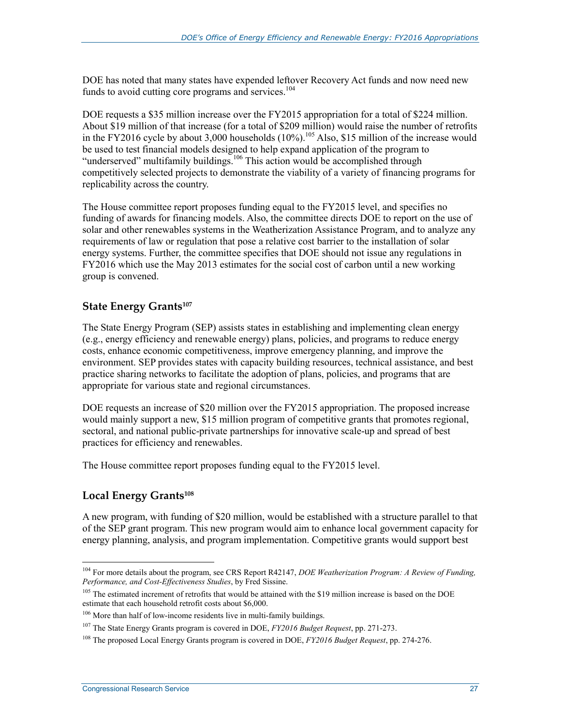DOE has noted that many states have expended leftover Recovery Act funds and now need new funds to avoid cutting core programs and services.<sup>104</sup>

DOE requests a \$35 million increase over the FY2015 appropriation for a total of \$224 million. About \$19 million of that increase (for a total of \$209 million) would raise the number of retrofits in the FY2016 cycle by about 3,000 households  $(10\%)$ .<sup>105</sup> Also, \$15 million of the increase would be used to test financial models designed to help expand application of the program to "underserved" multifamily buildings.<sup>106</sup> This action would be accomplished through competitively selected projects to demonstrate the viability of a variety of financing programs for replicability across the country.

The House committee report proposes funding equal to the FY2015 level, and specifies no funding of awards for financing models. Also, the committee directs DOE to report on the use of solar and other renewables systems in the Weatherization Assistance Program, and to analyze any requirements of law or regulation that pose a relative cost barrier to the installation of solar energy systems. Further, the committee specifies that DOE should not issue any regulations in FY2016 which use the May 2013 estimates for the social cost of carbon until a new working group is convened.

#### **State Energy Grants<sup>107</sup>**

The State Energy Program (SEP) assists states in establishing and implementing clean energy (e.g., energy efficiency and renewable energy) plans, policies, and programs to reduce energy costs, enhance economic competitiveness, improve emergency planning, and improve the environment. SEP provides states with capacity building resources, technical assistance, and best practice sharing networks to facilitate the adoption of plans, policies, and programs that are appropriate for various state and regional circumstances.

DOE requests an increase of \$20 million over the FY2015 appropriation. The proposed increase would mainly support a new, \$15 million program of competitive grants that promotes regional, sectoral, and national public-private partnerships for innovative scale-up and spread of best practices for efficiency and renewables.

The House committee report proposes funding equal to the FY2015 level.

#### **Local Energy Grants108**

1

A new program, with funding of \$20 million, would be established with a structure parallel to that of the SEP grant program. This new program would aim to enhance local government capacity for energy planning, analysis, and program implementation. Competitive grants would support best

<sup>104</sup> For more details about the program, see CRS Report R42147, *DOE Weatherization Program: A Review of Funding, Performance, and Cost-Effectiveness Studies*, by Fred Sissine.

<sup>&</sup>lt;sup>105</sup> The estimated increment of retrofits that would be attained with the \$19 million increase is based on the DOE estimate that each household retrofit costs about \$6,000.

<sup>&</sup>lt;sup>106</sup> More than half of low-income residents live in multi-family buildings.

<sup>107</sup> The State Energy Grants program is covered in DOE, *FY2016 Budget Request*, pp. 271-273.

<sup>108</sup> The proposed Local Energy Grants program is covered in DOE, *FY2016 Budget Request*, pp. 274-276.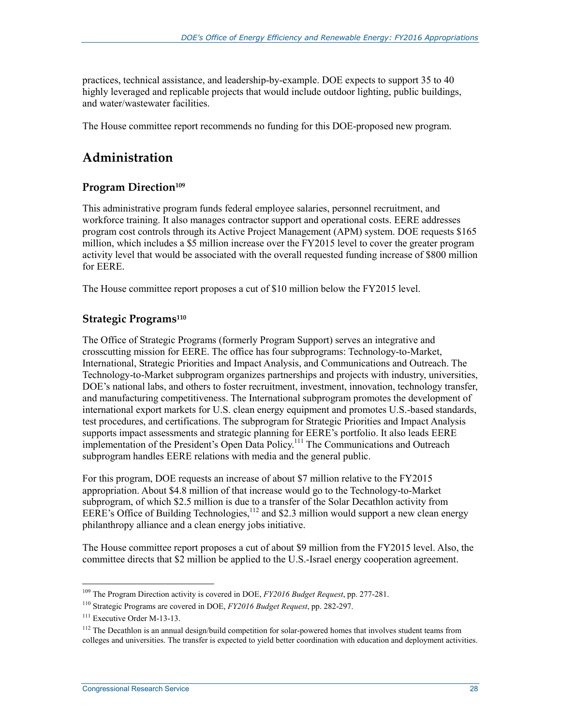practices, technical assistance, and leadership-by-example. DOE expects to support 35 to 40 highly leveraged and replicable projects that would include outdoor lighting, public buildings, and water/wastewater facilities.

The House committee report recommends no funding for this DOE-proposed new program.

## **Administration**

## **Program Direction<sup>109</sup>**

This administrative program funds federal employee salaries, personnel recruitment, and workforce training. It also manages contractor support and operational costs. EERE addresses program cost controls through its Active Project Management (APM) system. DOE requests \$165 million, which includes a \$5 million increase over the FY2015 level to cover the greater program activity level that would be associated with the overall requested funding increase of \$800 million for EERE.

The House committee report proposes a cut of \$10 million below the FY2015 level.

## **Strategic Programs**<sup>110</sup>

The Office of Strategic Programs (formerly Program Support) serves an integrative and crosscutting mission for EERE. The office has four subprograms: Technology-to-Market, International, Strategic Priorities and Impact Analysis, and Communications and Outreach. The Technology-to-Market subprogram organizes partnerships and projects with industry, universities, DOE's national labs, and others to foster recruitment, investment, innovation, technology transfer, and manufacturing competitiveness. The International subprogram promotes the development of international export markets for U.S. clean energy equipment and promotes U.S.-based standards, test procedures, and certifications. The subprogram for Strategic Priorities and Impact Analysis supports impact assessments and strategic planning for EERE's portfolio. It also leads EERE implementation of the President's Open Data Policy.<sup>111</sup> The Communications and Outreach subprogram handles EERE relations with media and the general public.

For this program, DOE requests an increase of about \$7 million relative to the FY2015 appropriation. About \$4.8 million of that increase would go to the Technology-to-Market subprogram, of which \$2.5 million is due to a transfer of the Solar Decathlon activity from EERE's Office of Building Technologies,<sup>112</sup> and \$2.3 million would support a new clean energy philanthropy alliance and a clean energy jobs initiative.

The House committee report proposes a cut of about \$9 million from the FY2015 level. Also, the committee directs that \$2 million be applied to the U.S.-Israel energy cooperation agreement.

<sup>109</sup> The Program Direction activity is covered in DOE, *FY2016 Budget Request*, pp. 277-281.

<sup>110</sup> Strategic Programs are covered in DOE, *FY2016 Budget Request*, pp. 282-297.

<sup>&</sup>lt;sup>111</sup> Executive Order M-13-13.

<sup>&</sup>lt;sup>112</sup> The Decathlon is an annual design/build competition for solar-powered homes that involves student teams from colleges and universities. The transfer is expected to yield better coordination with education and deployment activities.